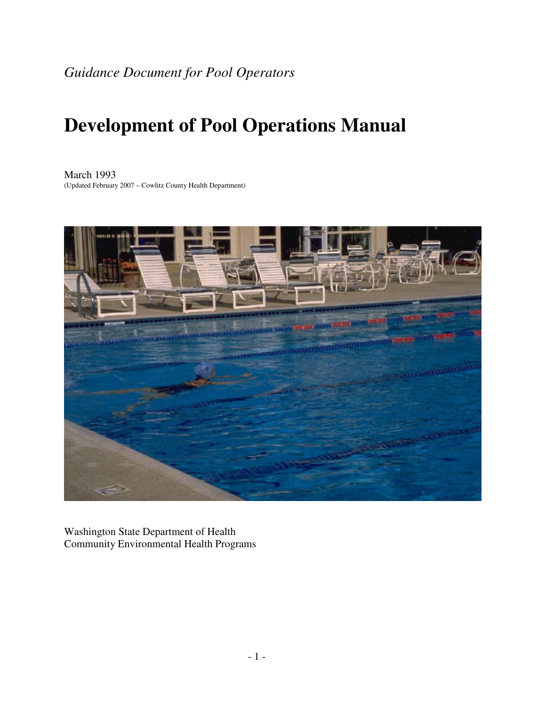# **Development of Pool Operations Manual**

March 1993 (Updated February 2007 – Cowlitz County Health Department)



Washington State Department of Health Community Environmental Health Programs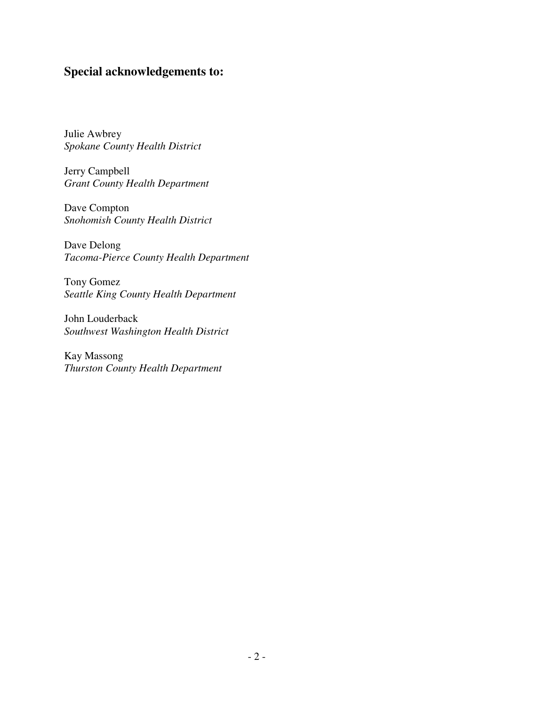## **Special acknowledgements to:**

Julie Awbrey *Spokane County Health District* 

Jerry Campbell *Grant County Health Department* 

Dave Compton *Snohomish County Health District* 

Dave Delong *Tacoma-Pierce County Health Department* 

Tony Gomez *Seattle King County Health Department* 

John Louderback *Southwest Washington Health District* 

Kay Massong *Thurston County Health Department*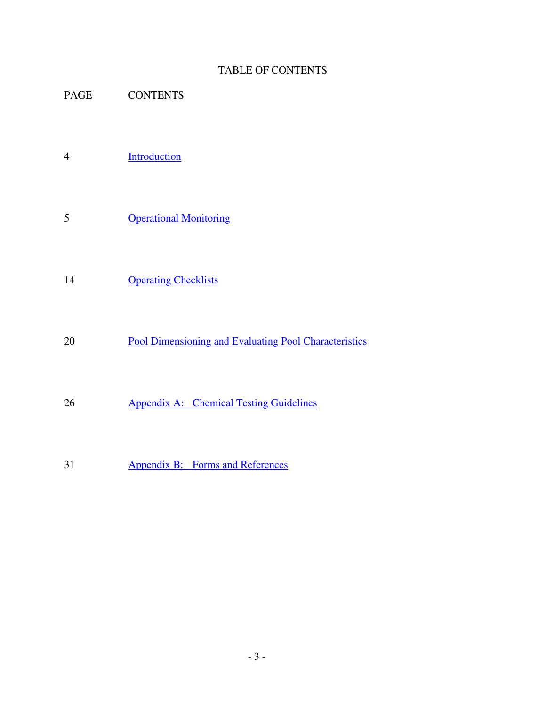### TABLE OF CONTENTS

- PAGE CONTENTS
- 4 Introduction
- 5 Operational Monitoring
- 14 Operating Checklists
- 20 **Pool Dimensioning and Evaluating Pool Characteristics**
- 26 Appendix A: Chemical Testing Guidelines
- 31 Appendix B: Forms and References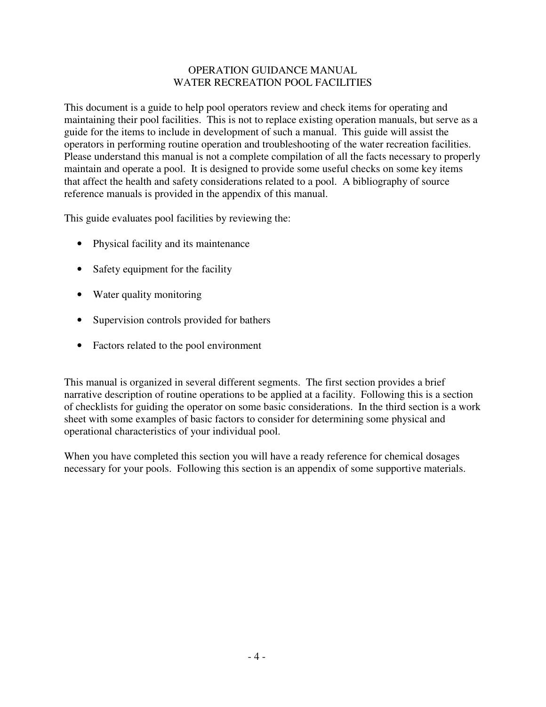### OPERATION GUIDANCE MANUAL WATER RECREATION POOL FACILITIES

This document is a guide to help pool operators review and check items for operating and maintaining their pool facilities. This is not to replace existing operation manuals, but serve as a guide for the items to include in development of such a manual. This guide will assist the operators in performing routine operation and troubleshooting of the water recreation facilities. Please understand this manual is not a complete compilation of all the facts necessary to properly maintain and operate a pool. It is designed to provide some useful checks on some key items that affect the health and safety considerations related to a pool. A bibliography of source reference manuals is provided in the appendix of this manual.

This guide evaluates pool facilities by reviewing the:

- Physical facility and its maintenance
- Safety equipment for the facility
- Water quality monitoring
- Supervision controls provided for bathers
- Factors related to the pool environment

This manual is organized in several different segments. The first section provides a brief narrative description of routine operations to be applied at a facility. Following this is a section of checklists for guiding the operator on some basic considerations. In the third section is a work sheet with some examples of basic factors to consider for determining some physical and operational characteristics of your individual pool.

When you have completed this section you will have a ready reference for chemical dosages necessary for your pools. Following this section is an appendix of some supportive materials.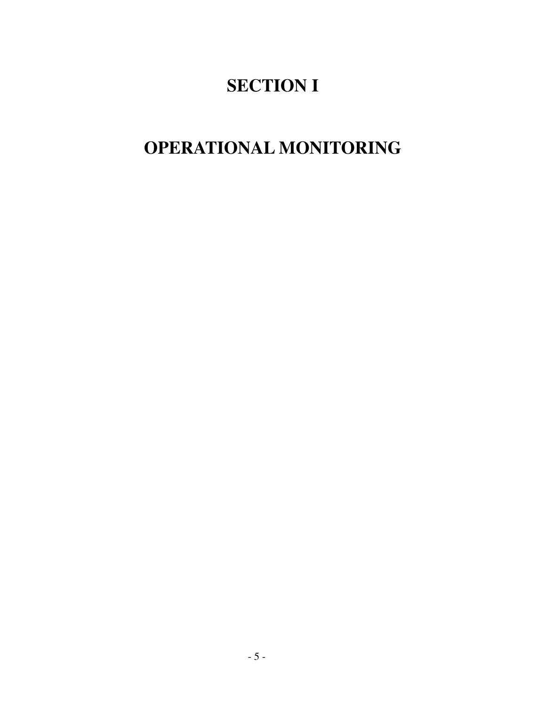# **SECTION I**

# **OPERATIONAL MONITORING**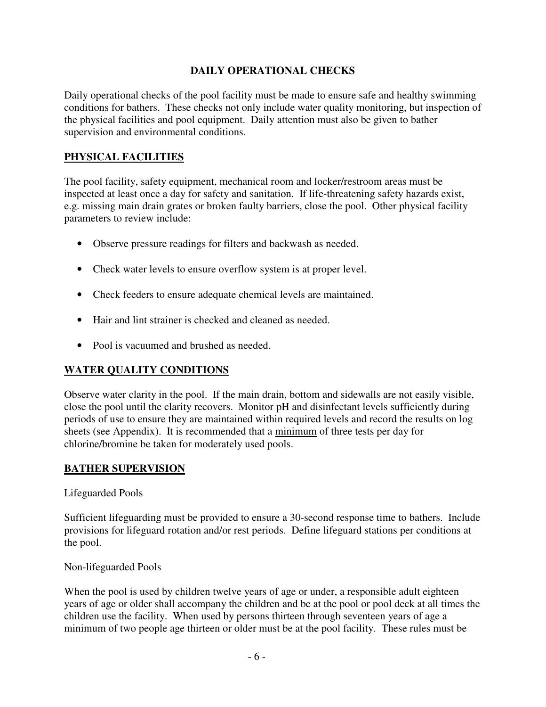### **DAILY OPERATIONAL CHECKS**

Daily operational checks of the pool facility must be made to ensure safe and healthy swimming conditions for bathers. These checks not only include water quality monitoring, but inspection of the physical facilities and pool equipment. Daily attention must also be given to bather supervision and environmental conditions.

## **PHYSICAL FACILITIES**

The pool facility, safety equipment, mechanical room and locker/restroom areas must be inspected at least once a day for safety and sanitation. If life-threatening safety hazards exist, e.g. missing main drain grates or broken faulty barriers, close the pool. Other physical facility parameters to review include:

- Observe pressure readings for filters and backwash as needed.
- Check water levels to ensure overflow system is at proper level.
- Check feeders to ensure adequate chemical levels are maintained.
- Hair and lint strainer is checked and cleaned as needed.
- Pool is vacuumed and brushed as needed.

## **WATER QUALITY CONDITIONS**

Observe water clarity in the pool. If the main drain, bottom and sidewalls are not easily visible, close the pool until the clarity recovers. Monitor pH and disinfectant levels sufficiently during periods of use to ensure they are maintained within required levels and record the results on log sheets (see Appendix). It is recommended that a minimum of three tests per day for chlorine/bromine be taken for moderately used pools.

## **BATHER SUPERVISION**

Lifeguarded Pools

Sufficient lifeguarding must be provided to ensure a 30-second response time to bathers. Include provisions for lifeguard rotation and/or rest periods. Define lifeguard stations per conditions at the pool.

Non-lifeguarded Pools

When the pool is used by children twelve years of age or under, a responsible adult eighteen years of age or older shall accompany the children and be at the pool or pool deck at all times the children use the facility. When used by persons thirteen through seventeen years of age a minimum of two people age thirteen or older must be at the pool facility. These rules must be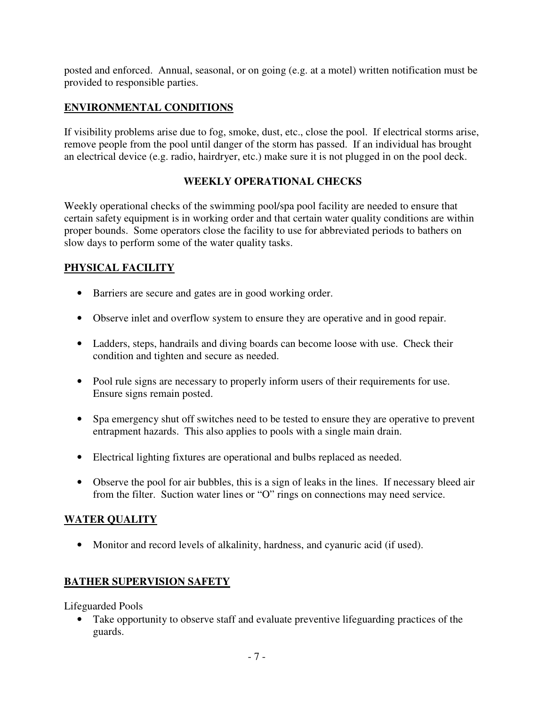posted and enforced. Annual, seasonal, or on going (e.g. at a motel) written notification must be provided to responsible parties.

## **ENVIRONMENTAL CONDITIONS**

If visibility problems arise due to fog, smoke, dust, etc., close the pool. If electrical storms arise, remove people from the pool until danger of the storm has passed. If an individual has brought an electrical device (e.g. radio, hairdryer, etc.) make sure it is not plugged in on the pool deck.

## **WEEKLY OPERATIONAL CHECKS**

Weekly operational checks of the swimming pool/spa pool facility are needed to ensure that certain safety equipment is in working order and that certain water quality conditions are within proper bounds. Some operators close the facility to use for abbreviated periods to bathers on slow days to perform some of the water quality tasks.

## **PHYSICAL FACILITY**

- Barriers are secure and gates are in good working order.
- Observe inlet and overflow system to ensure they are operative and in good repair.
- Ladders, steps, handrails and diving boards can become loose with use. Check their condition and tighten and secure as needed.
- Pool rule signs are necessary to properly inform users of their requirements for use. Ensure signs remain posted.
- Spa emergency shut off switches need to be tested to ensure they are operative to prevent entrapment hazards. This also applies to pools with a single main drain.
- Electrical lighting fixtures are operational and bulbs replaced as needed.
- Observe the pool for air bubbles, this is a sign of leaks in the lines. If necessary bleed air from the filter. Suction water lines or "O" rings on connections may need service.

## **WATER QUALITY**

• Monitor and record levels of alkalinity, hardness, and cyanuric acid (if used).

## **BATHER SUPERVISION SAFETY**

Lifeguarded Pools

• Take opportunity to observe staff and evaluate preventive lifeguarding practices of the guards.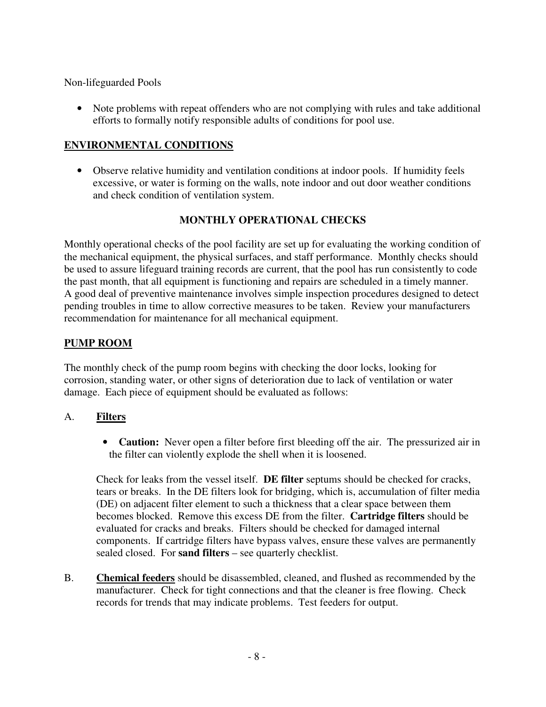Non-lifeguarded Pools

• Note problems with repeat offenders who are not complying with rules and take additional efforts to formally notify responsible adults of conditions for pool use.

### **ENVIRONMENTAL CONDITIONS**

• Observe relative humidity and ventilation conditions at indoor pools. If humidity feels excessive, or water is forming on the walls, note indoor and out door weather conditions and check condition of ventilation system.

### **MONTHLY OPERATIONAL CHECKS**

Monthly operational checks of the pool facility are set up for evaluating the working condition of the mechanical equipment, the physical surfaces, and staff performance. Monthly checks should be used to assure lifeguard training records are current, that the pool has run consistently to code the past month, that all equipment is functioning and repairs are scheduled in a timely manner. A good deal of preventive maintenance involves simple inspection procedures designed to detect pending troubles in time to allow corrective measures to be taken. Review your manufacturers recommendation for maintenance for all mechanical equipment.

### **PUMP ROOM**

The monthly check of the pump room begins with checking the door locks, looking for corrosion, standing water, or other signs of deterioration due to lack of ventilation or water damage. Each piece of equipment should be evaluated as follows:

### A. **Filters**

• **Caution:** Never open a filter before first bleeding off the air. The pressurized air in the filter can violently explode the shell when it is loosened.

Check for leaks from the vessel itself. **DE filter** septums should be checked for cracks, tears or breaks. In the DE filters look for bridging, which is, accumulation of filter media (DE) on adjacent filter element to such a thickness that a clear space between them becomes blocked. Remove this excess DE from the filter. **Cartridge filters** should be evaluated for cracks and breaks. Filters should be checked for damaged internal components. If cartridge filters have bypass valves, ensure these valves are permanently sealed closed. For **sand filters** – see quarterly checklist.

B. **Chemical feeders** should be disassembled, cleaned, and flushed as recommended by the manufacturer. Check for tight connections and that the cleaner is free flowing. Check records for trends that may indicate problems. Test feeders for output.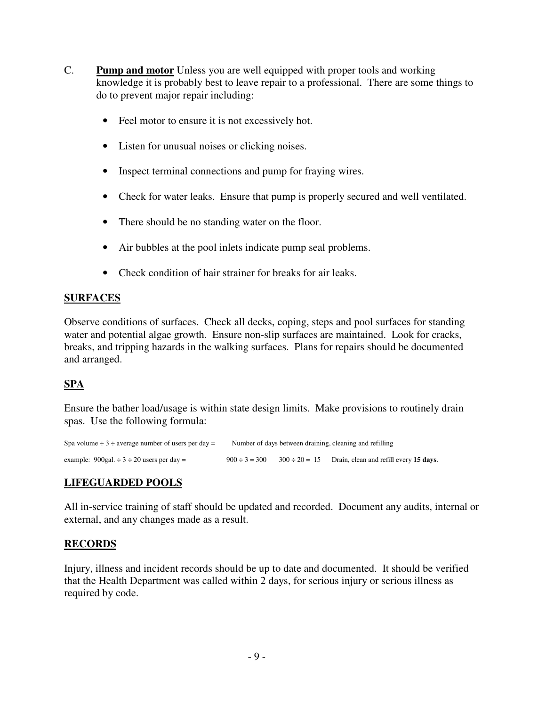- C. **Pump and motor** Unless you are well equipped with proper tools and working knowledge it is probably best to leave repair to a professional. There are some things to do to prevent major repair including:
	- Feel motor to ensure it is not excessively hot.
	- Listen for unusual noises or clicking noises.
	- Inspect terminal connections and pump for fraying wires.
	- Check for water leaks. Ensure that pump is properly secured and well ventilated.
	- There should be no standing water on the floor.
	- Air bubbles at the pool inlets indicate pump seal problems.
	- Check condition of hair strainer for breaks for air leaks.

## **SURFACES**

Observe conditions of surfaces. Check all decks, coping, steps and pool surfaces for standing water and potential algae growth. Ensure non-slip surfaces are maintained. Look for cracks, breaks, and tripping hazards in the walking surfaces. Plans for repairs should be documented and arranged.

## **SPA**

Ensure the bather load/usage is within state design limits. Make provisions to routinely drain spas. Use the following formula:

```
Spa volume \div 3 \div average number of users per day = Number of days between draining, cleaning and refilling
example: 900gal. \div 3 \div 20 users per day = 900 \div 3 = 300 300 \div 20 = 15 Drain, clean and refill every 15 days.
```
## **LIFEGUARDED POOLS**

All in-service training of staff should be updated and recorded. Document any audits, internal or external, and any changes made as a result.

## **RECORDS**

Injury, illness and incident records should be up to date and documented. It should be verified that the Health Department was called within 2 days, for serious injury or serious illness as required by code.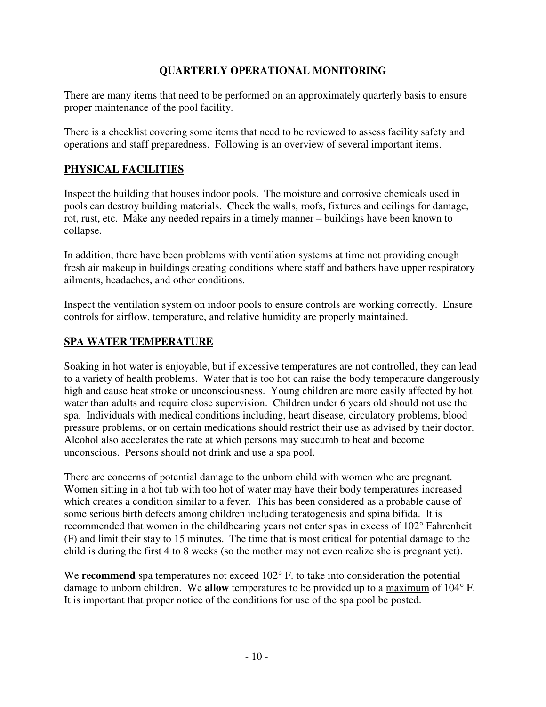### **QUARTERLY OPERATIONAL MONITORING**

There are many items that need to be performed on an approximately quarterly basis to ensure proper maintenance of the pool facility.

There is a checklist covering some items that need to be reviewed to assess facility safety and operations and staff preparedness. Following is an overview of several important items.

## **PHYSICAL FACILITIES**

Inspect the building that houses indoor pools. The moisture and corrosive chemicals used in pools can destroy building materials. Check the walls, roofs, fixtures and ceilings for damage, rot, rust, etc. Make any needed repairs in a timely manner – buildings have been known to collapse.

In addition, there have been problems with ventilation systems at time not providing enough fresh air makeup in buildings creating conditions where staff and bathers have upper respiratory ailments, headaches, and other conditions.

Inspect the ventilation system on indoor pools to ensure controls are working correctly. Ensure controls for airflow, temperature, and relative humidity are properly maintained.

## **SPA WATER TEMPERATURE**

Soaking in hot water is enjoyable, but if excessive temperatures are not controlled, they can lead to a variety of health problems. Water that is too hot can raise the body temperature dangerously high and cause heat stroke or unconsciousness. Young children are more easily affected by hot water than adults and require close supervision. Children under 6 years old should not use the spa. Individuals with medical conditions including, heart disease, circulatory problems, blood pressure problems, or on certain medications should restrict their use as advised by their doctor. Alcohol also accelerates the rate at which persons may succumb to heat and become unconscious. Persons should not drink and use a spa pool.

There are concerns of potential damage to the unborn child with women who are pregnant. Women sitting in a hot tub with too hot of water may have their body temperatures increased which creates a condition similar to a fever. This has been considered as a probable cause of some serious birth defects among children including teratogenesis and spina bifida. It is recommended that women in the childbearing years not enter spas in excess of 102° Fahrenheit (F) and limit their stay to 15 minutes. The time that is most critical for potential damage to the child is during the first 4 to 8 weeks (so the mother may not even realize she is pregnant yet).

We **recommend** spa temperatures not exceed  $102^{\circ}$  F. to take into consideration the potential damage to unborn children. We **allow** temperatures to be provided up to a maximum of 104° F. It is important that proper notice of the conditions for use of the spa pool be posted.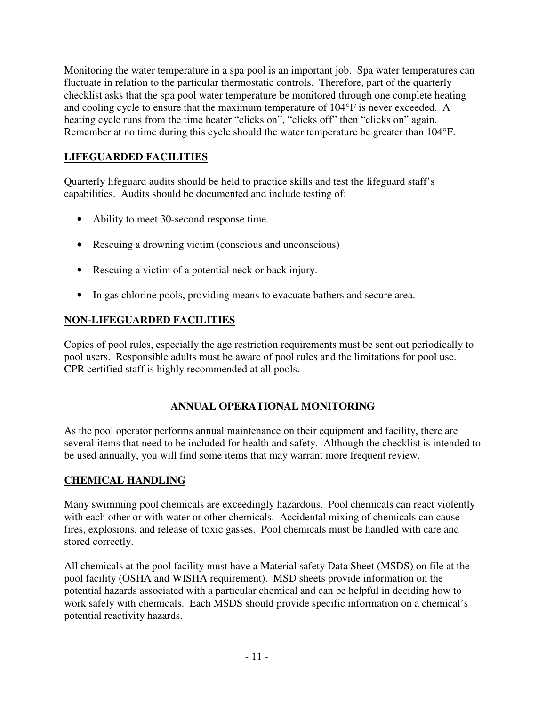Monitoring the water temperature in a spa pool is an important job. Spa water temperatures can fluctuate in relation to the particular thermostatic controls. Therefore, part of the quarterly checklist asks that the spa pool water temperature be monitored through one complete heating and cooling cycle to ensure that the maximum temperature of 104°F is never exceeded. A heating cycle runs from the time heater "clicks on", "clicks off" then "clicks on" again. Remember at no time during this cycle should the water temperature be greater than 104°F.

## **LIFEGUARDED FACILITIES**

Quarterly lifeguard audits should be held to practice skills and test the lifeguard staff's capabilities. Audits should be documented and include testing of:

- Ability to meet 30-second response time.
- Rescuing a drowning victim (conscious and unconscious)
- Rescuing a victim of a potential neck or back injury.
- In gas chlorine pools, providing means to evacuate bathers and secure area.

## **NON-LIFEGUARDED FACILITIES**

Copies of pool rules, especially the age restriction requirements must be sent out periodically to pool users. Responsible adults must be aware of pool rules and the limitations for pool use. CPR certified staff is highly recommended at all pools.

## **ANNUAL OPERATIONAL MONITORING**

As the pool operator performs annual maintenance on their equipment and facility, there are several items that need to be included for health and safety. Although the checklist is intended to be used annually, you will find some items that may warrant more frequent review.

### **CHEMICAL HANDLING**

Many swimming pool chemicals are exceedingly hazardous. Pool chemicals can react violently with each other or with water or other chemicals. Accidental mixing of chemicals can cause fires, explosions, and release of toxic gasses. Pool chemicals must be handled with care and stored correctly.

All chemicals at the pool facility must have a Material safety Data Sheet (MSDS) on file at the pool facility (OSHA and WISHA requirement). MSD sheets provide information on the potential hazards associated with a particular chemical and can be helpful in deciding how to work safely with chemicals. Each MSDS should provide specific information on a chemical's potential reactivity hazards.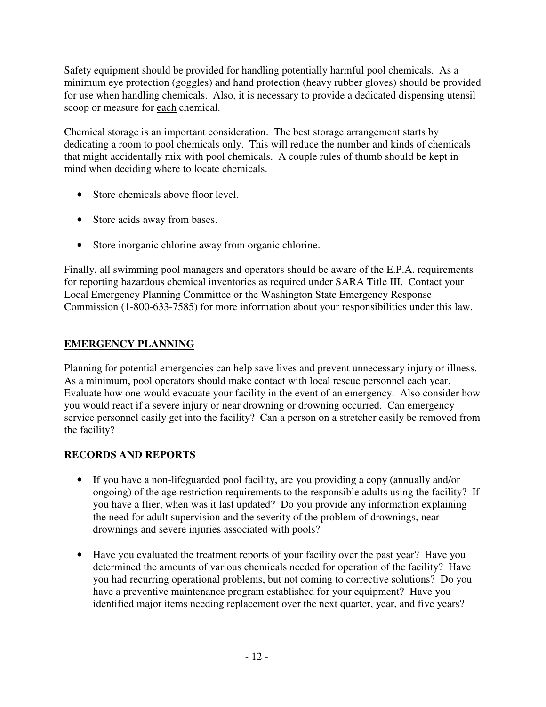Safety equipment should be provided for handling potentially harmful pool chemicals. As a minimum eye protection (goggles) and hand protection (heavy rubber gloves) should be provided for use when handling chemicals. Also, it is necessary to provide a dedicated dispensing utensil scoop or measure for each chemical.

Chemical storage is an important consideration. The best storage arrangement starts by dedicating a room to pool chemicals only. This will reduce the number and kinds of chemicals that might accidentally mix with pool chemicals. A couple rules of thumb should be kept in mind when deciding where to locate chemicals.

- Store chemicals above floor level.
- Store acids away from bases.
- Store inorganic chlorine away from organic chlorine.

Finally, all swimming pool managers and operators should be aware of the E.P.A. requirements for reporting hazardous chemical inventories as required under SARA Title III. Contact your Local Emergency Planning Committee or the Washington State Emergency Response Commission (1-800-633-7585) for more information about your responsibilities under this law.

## **EMERGENCY PLANNING**

Planning for potential emergencies can help save lives and prevent unnecessary injury or illness. As a minimum, pool operators should make contact with local rescue personnel each year. Evaluate how one would evacuate your facility in the event of an emergency. Also consider how you would react if a severe injury or near drowning or drowning occurred. Can emergency service personnel easily get into the facility? Can a person on a stretcher easily be removed from the facility?

## **RECORDS AND REPORTS**

- If you have a non-lifeguarded pool facility, are you providing a copy (annually and/or ongoing) of the age restriction requirements to the responsible adults using the facility? If you have a flier, when was it last updated? Do you provide any information explaining the need for adult supervision and the severity of the problem of drownings, near drownings and severe injuries associated with pools?
- Have you evaluated the treatment reports of your facility over the past year? Have you determined the amounts of various chemicals needed for operation of the facility? Have you had recurring operational problems, but not coming to corrective solutions? Do you have a preventive maintenance program established for your equipment? Have you identified major items needing replacement over the next quarter, year, and five years?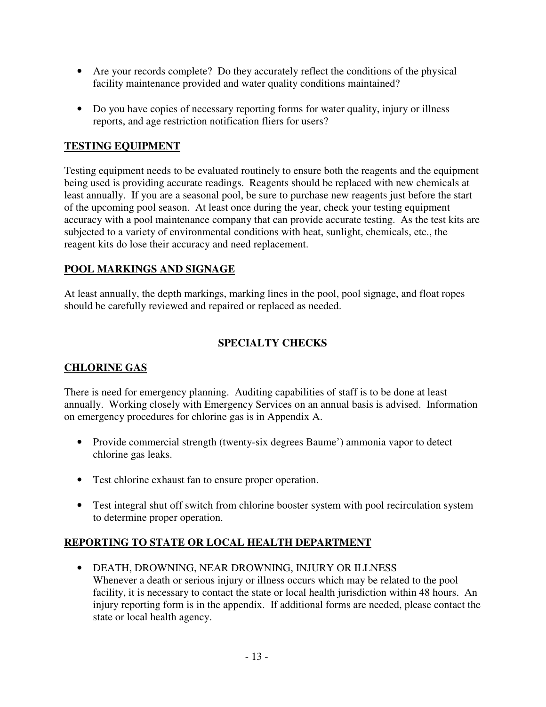- Are your records complete? Do they accurately reflect the conditions of the physical facility maintenance provided and water quality conditions maintained?
- Do you have copies of necessary reporting forms for water quality, injury or illness reports, and age restriction notification fliers for users?

### **TESTING EQUIPMENT**

Testing equipment needs to be evaluated routinely to ensure both the reagents and the equipment being used is providing accurate readings. Reagents should be replaced with new chemicals at least annually. If you are a seasonal pool, be sure to purchase new reagents just before the start of the upcoming pool season. At least once during the year, check your testing equipment accuracy with a pool maintenance company that can provide accurate testing. As the test kits are subjected to a variety of environmental conditions with heat, sunlight, chemicals, etc., the reagent kits do lose their accuracy and need replacement.

## **POOL MARKINGS AND SIGNAGE**

At least annually, the depth markings, marking lines in the pool, pool signage, and float ropes should be carefully reviewed and repaired or replaced as needed.

## **SPECIALTY CHECKS**

## **CHLORINE GAS**

There is need for emergency planning. Auditing capabilities of staff is to be done at least annually. Working closely with Emergency Services on an annual basis is advised. Information on emergency procedures for chlorine gas is in Appendix A.

- Provide commercial strength (twenty-six degrees Baume') ammonia vapor to detect chlorine gas leaks.
- Test chlorine exhaust fan to ensure proper operation.
- Test integral shut off switch from chlorine booster system with pool recirculation system to determine proper operation.

## **REPORTING TO STATE OR LOCAL HEALTH DEPARTMENT**

• DEATH, DROWNING, NEAR DROWNING, INJURY OR ILLNESS Whenever a death or serious injury or illness occurs which may be related to the pool facility, it is necessary to contact the state or local health jurisdiction within 48 hours. An injury reporting form is in the appendix. If additional forms are needed, please contact the state or local health agency.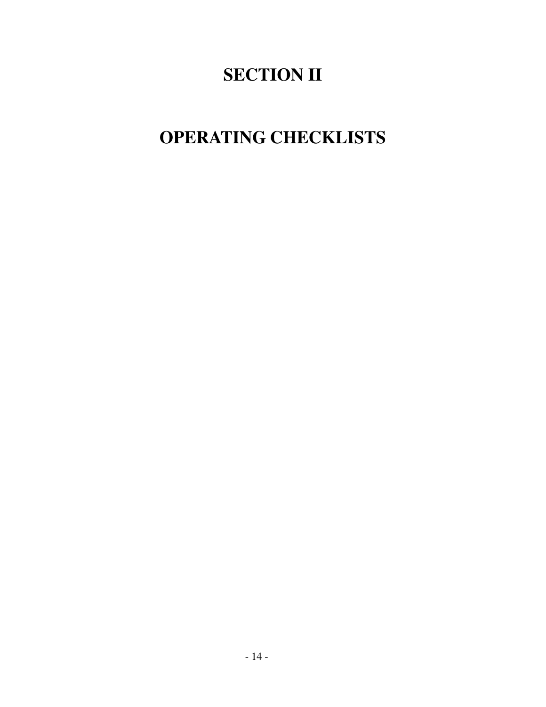# **SECTION II**

# **OPERATING CHECKLISTS**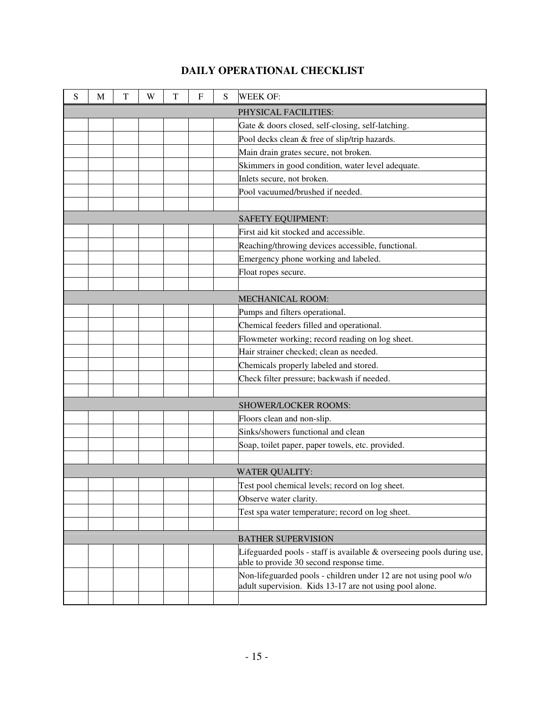| S | M                    | T | W | T | $\mathbf{F}$ | S | <b>WEEK OF:</b>                                                                                                             |  |
|---|----------------------|---|---|---|--------------|---|-----------------------------------------------------------------------------------------------------------------------------|--|
|   | PHYSICAL FACILITIES: |   |   |   |              |   |                                                                                                                             |  |
|   |                      |   |   |   |              |   | Gate & doors closed, self-closing, self-latching.                                                                           |  |
|   |                      |   |   |   |              |   | Pool decks clean & free of slip/trip hazards.                                                                               |  |
|   |                      |   |   |   |              |   | Main drain grates secure, not broken.                                                                                       |  |
|   |                      |   |   |   |              |   | Skimmers in good condition, water level adequate.                                                                           |  |
|   |                      |   |   |   |              |   | Inlets secure, not broken.                                                                                                  |  |
|   |                      |   |   |   |              |   | Pool vacuumed/brushed if needed.                                                                                            |  |
|   |                      |   |   |   |              |   |                                                                                                                             |  |
|   |                      |   |   |   |              |   | SAFETY EQUIPMENT:                                                                                                           |  |
|   |                      |   |   |   |              |   | First aid kit stocked and accessible.                                                                                       |  |
|   |                      |   |   |   |              |   | Reaching/throwing devices accessible, functional.                                                                           |  |
|   |                      |   |   |   |              |   | Emergency phone working and labeled.                                                                                        |  |
|   |                      |   |   |   |              |   | Float ropes secure.                                                                                                         |  |
|   |                      |   |   |   |              |   |                                                                                                                             |  |
|   |                      |   |   |   |              |   | <b>MECHANICAL ROOM:</b>                                                                                                     |  |
|   |                      |   |   |   |              |   | Pumps and filters operational.                                                                                              |  |
|   |                      |   |   |   |              |   | Chemical feeders filled and operational.                                                                                    |  |
|   |                      |   |   |   |              |   | Flowmeter working; record reading on log sheet.                                                                             |  |
|   |                      |   |   |   |              |   | Hair strainer checked; clean as needed.                                                                                     |  |
|   |                      |   |   |   |              |   | Chemicals properly labeled and stored.                                                                                      |  |
|   |                      |   |   |   |              |   | Check filter pressure; backwash if needed.                                                                                  |  |
|   |                      |   |   |   |              |   |                                                                                                                             |  |
|   |                      |   |   |   |              |   | SHOWER/LOCKER ROOMS:                                                                                                        |  |
|   |                      |   |   |   |              |   | Floors clean and non-slip.                                                                                                  |  |
|   |                      |   |   |   |              |   | Sinks/showers functional and clean                                                                                          |  |
|   |                      |   |   |   |              |   | Soap, toilet paper, paper towels, etc. provided.                                                                            |  |
|   |                      |   |   |   |              |   |                                                                                                                             |  |
|   |                      |   |   |   |              |   | <b>WATER QUALITY:</b>                                                                                                       |  |
|   |                      |   |   |   |              |   | Test pool chemical levels; record on log sheet.                                                                             |  |
|   |                      |   |   |   |              |   | Observe water clarity.                                                                                                      |  |
|   |                      |   |   |   |              |   | Test spa water temperature; record on log sheet.                                                                            |  |
|   |                      |   |   |   |              |   |                                                                                                                             |  |
|   |                      |   |   |   |              |   | <b>BATHER SUPERVISION</b>                                                                                                   |  |
|   |                      |   |   |   |              |   | Lifeguarded pools - staff is available & overseeing pools during use,<br>able to provide 30 second response time.           |  |
|   |                      |   |   |   |              |   | Non-lifeguarded pools - children under 12 are not using pool w/o<br>adult supervision. Kids 13-17 are not using pool alone. |  |
|   |                      |   |   |   |              |   |                                                                                                                             |  |

## **DAILY OPERATIONAL CHECKLIST**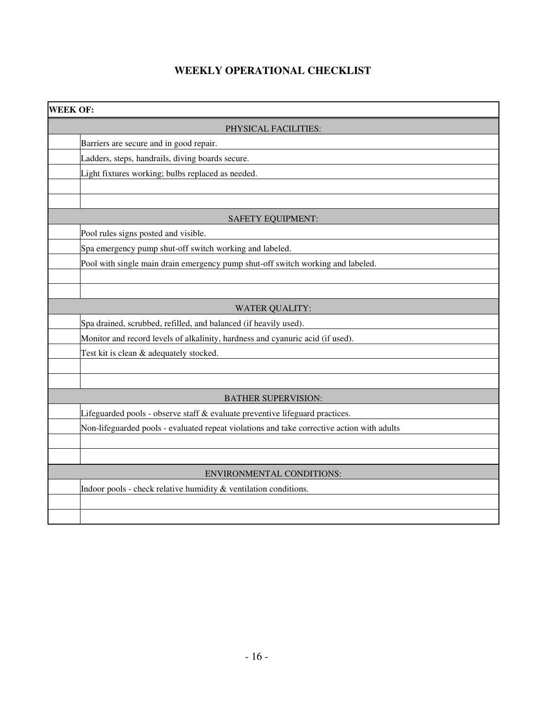## **WEEKLY OPERATIONAL CHECKLIST**

| <b>WEEK OF:</b>                                                                            |  |  |  |  |
|--------------------------------------------------------------------------------------------|--|--|--|--|
| PHYSICAL FACILITIES:                                                                       |  |  |  |  |
| Barriers are secure and in good repair.                                                    |  |  |  |  |
| Ladders, steps, handrails, diving boards secure.                                           |  |  |  |  |
| Light fixtures working; bulbs replaced as needed.                                          |  |  |  |  |
|                                                                                            |  |  |  |  |
|                                                                                            |  |  |  |  |
| SAFETY EQUIPMENT:                                                                          |  |  |  |  |
| Pool rules signs posted and visible.                                                       |  |  |  |  |
| Spa emergency pump shut-off switch working and labeled.                                    |  |  |  |  |
| Pool with single main drain emergency pump shut-off switch working and labeled.            |  |  |  |  |
|                                                                                            |  |  |  |  |
|                                                                                            |  |  |  |  |
| <b>WATER QUALITY:</b>                                                                      |  |  |  |  |
| Spa drained, scrubbed, refilled, and balanced (if heavily used).                           |  |  |  |  |
| Monitor and record levels of alkalinity, hardness and cyanuric acid (if used).             |  |  |  |  |
| Test kit is clean & adequately stocked.                                                    |  |  |  |  |
|                                                                                            |  |  |  |  |
|                                                                                            |  |  |  |  |
| <b>BATHER SUPERVISION:</b>                                                                 |  |  |  |  |
| Lifeguarded pools - observe staff & evaluate preventive lifeguard practices.               |  |  |  |  |
| Non-lifeguarded pools - evaluated repeat violations and take corrective action with adults |  |  |  |  |
|                                                                                            |  |  |  |  |
|                                                                                            |  |  |  |  |
| <b>ENVIRONMENTAL CONDITIONS:</b>                                                           |  |  |  |  |
| Indoor pools - check relative humidity & ventilation conditions.                           |  |  |  |  |
|                                                                                            |  |  |  |  |
|                                                                                            |  |  |  |  |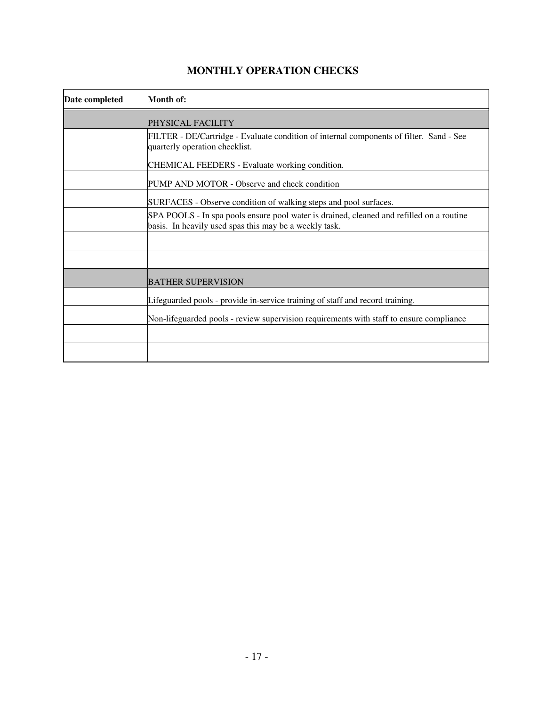| Date completed | Month of:                                                                                                                                          |
|----------------|----------------------------------------------------------------------------------------------------------------------------------------------------|
|                | PHYSICAL FACILITY                                                                                                                                  |
|                | FILTER - DE/Cartridge - Evaluate condition of internal components of filter. Sand - See<br>quarterly operation checklist.                          |
|                | CHEMICAL FEEDERS - Evaluate working condition.                                                                                                     |
|                | PUMP AND MOTOR - Observe and check condition                                                                                                       |
|                | SURFACES - Observe condition of walking steps and pool surfaces.                                                                                   |
|                | SPA POOLS - In spa pools ensure pool water is drained, cleaned and refilled on a routine<br>basis. In heavily used spas this may be a weekly task. |
|                |                                                                                                                                                    |
|                |                                                                                                                                                    |
|                | BATHER SUPERVISION                                                                                                                                 |
|                | Lifeguarded pools - provide in-service training of staff and record training.                                                                      |
|                | Non-lifeguarded pools - review supervision requirements with staff to ensure compliance                                                            |
|                |                                                                                                                                                    |
|                |                                                                                                                                                    |

## **MONTHLY OPERATION CHECKS**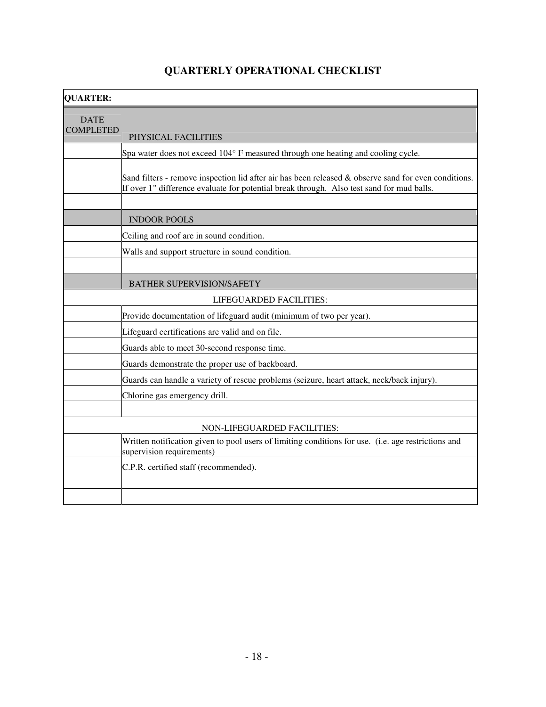| <b>OUARTER:</b>                 |                                                                                                                                                                                                   |
|---------------------------------|---------------------------------------------------------------------------------------------------------------------------------------------------------------------------------------------------|
| <b>DATE</b><br><b>COMPLETED</b> | PHYSICAL FACILITIES                                                                                                                                                                               |
|                                 | Spa water does not exceed 104° F measured through one heating and cooling cycle.                                                                                                                  |
|                                 | Sand filters - remove inspection lid after air has been released & observe sand for even conditions.<br>If over 1" difference evaluate for potential break through. Also test sand for mud balls. |
|                                 |                                                                                                                                                                                                   |
|                                 | <b>INDOOR POOLS</b>                                                                                                                                                                               |
|                                 | Ceiling and roof are in sound condition.                                                                                                                                                          |
|                                 | Walls and support structure in sound condition.                                                                                                                                                   |
|                                 |                                                                                                                                                                                                   |
|                                 | <b>BATHER SUPERVISION/SAFETY</b>                                                                                                                                                                  |
|                                 | LIFEGUARDED FACILITIES:                                                                                                                                                                           |
|                                 | Provide documentation of lifeguard audit (minimum of two per year).                                                                                                                               |
|                                 | Lifeguard certifications are valid and on file.                                                                                                                                                   |
|                                 | Guards able to meet 30-second response time.                                                                                                                                                      |
|                                 | Guards demonstrate the proper use of backboard.                                                                                                                                                   |
|                                 | Guards can handle a variety of rescue problems (seizure, heart attack, neck/back injury).                                                                                                         |
|                                 | Chlorine gas emergency drill.                                                                                                                                                                     |
|                                 |                                                                                                                                                                                                   |
|                                 | NON-LIFEGUARDED FACILITIES:                                                                                                                                                                       |
|                                 | Written notification given to pool users of limiting conditions for use. (i.e. age restrictions and<br>supervision requirements)                                                                  |
|                                 | C.P.R. certified staff (recommended).                                                                                                                                                             |
|                                 |                                                                                                                                                                                                   |
|                                 |                                                                                                                                                                                                   |

## **QUARTERLY OPERATIONAL CHECKLIST**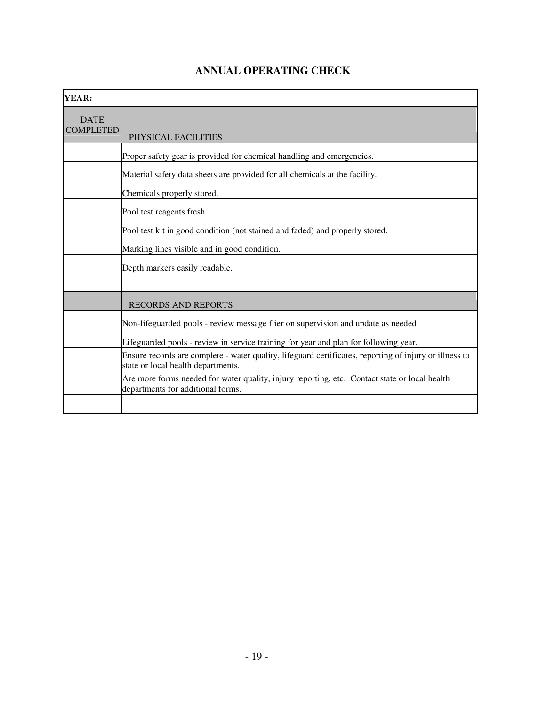| YEAR:                           |                                                                                                                                              |
|---------------------------------|----------------------------------------------------------------------------------------------------------------------------------------------|
| <b>DATE</b><br><b>COMPLETED</b> | PHYSICAL FACILITIES                                                                                                                          |
|                                 | Proper safety gear is provided for chemical handling and emergencies.                                                                        |
|                                 | Material safety data sheets are provided for all chemicals at the facility.                                                                  |
|                                 | Chemicals properly stored.                                                                                                                   |
|                                 | Pool test reagents fresh.                                                                                                                    |
|                                 | Pool test kit in good condition (not stained and faded) and properly stored.                                                                 |
|                                 | Marking lines visible and in good condition.                                                                                                 |
|                                 | Depth markers easily readable.                                                                                                               |
|                                 |                                                                                                                                              |
|                                 | <b>RECORDS AND REPORTS</b>                                                                                                                   |
|                                 | Non-lifeguarded pools - review message flier on supervision and update as needed                                                             |
|                                 | Lifeguarded pools - review in service training for year and plan for following year.                                                         |
|                                 | Ensure records are complete - water quality, lifeguard certificates, reporting of injury or illness to<br>state or local health departments. |
|                                 | Are more forms needed for water quality, injury reporting, etc. Contact state or local health<br>departments for additional forms.           |
|                                 |                                                                                                                                              |

## **ANNUAL OPERATING CHECK**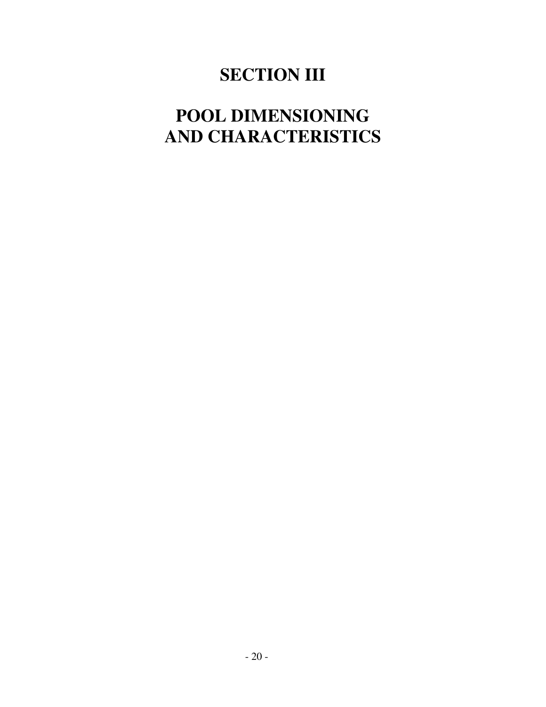# **SECTION III**

# **POOL DIMENSIONING AND CHARACTERISTICS**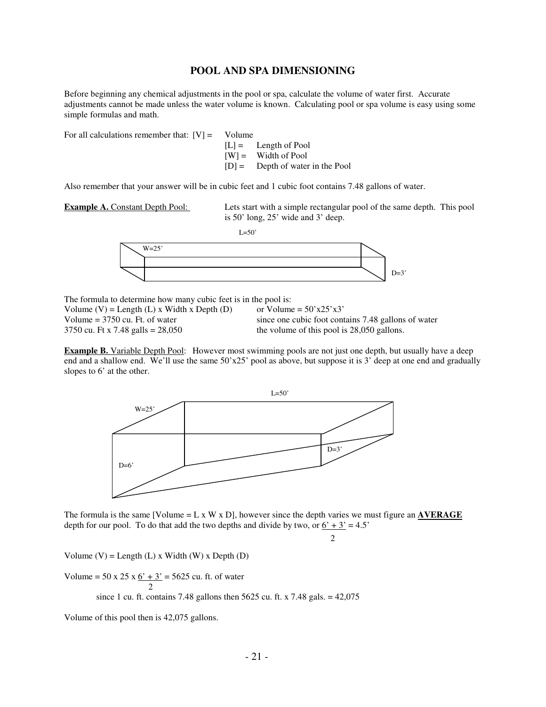#### **POOL AND SPA DIMENSIONING**

Before beginning any chemical adjustments in the pool or spa, calculate the volume of water first. Accurate adjustments cannot be made unless the water volume is known. Calculating pool or spa volume is easy using some simple formulas and math.

For all calculations remember that:  $[V] =$  Volume

 $[L] =$  Length of Pool  $[W] =$  Width of Pool [D] = Depth of water in the Pool

Also remember that your answer will be in cubic feet and 1 cubic foot contains 7.48 gallons of water.

**Example A.** Constant Depth Pool: Lets start with a simple rectangular pool of the same depth. This pool is 50' long, 25' wide and 3' deep.

 $L=50'$ 



The formula to determine how many cubic feet is in the pool is: Volume (V) = Length (L) x Width x Depth (D) or Volume =  $50^\circ x25^\circ x3$ Volume = 3750 cu. Ft. of water since one cubic foot contains 7.48 gallons of water  $3750$  cu. Ft x 7.48 galls = 28.050 sallons the volume of this pool is 28.050 gallons.

the volume of this pool is  $28,050$  gallons.

**Example B.** Variable Depth Pool: However most swimming pools are not just one depth, but usually have a deep end and a shallow end. We'll use the same  $50'x25'$  pool as above, but suppose it is 3' deep at one end and gradually slopes to 6' at the other.



The formula is the same [Volume =  $L \times W \times D$ ], however since the depth varies we must figure an **AVERAGE** depth for our pool. To do that add the two depths and divide by two, or  $6' + 3' = 4.5'$ 

 $\mathfrak{D}$ 

Volume  $(V)$  = Length  $(L)$  x Width  $(W)$  x Depth  $(D)$ 

Volume =  $50 \times 25 \times 6' + 3' = 5625$  cu. ft. of water 2

since 1 cu. ft. contains 7.48 gallons then 5625 cu. ft. x 7.48 gals.  $= 42,075$ 

Volume of this pool then is 42,075 gallons.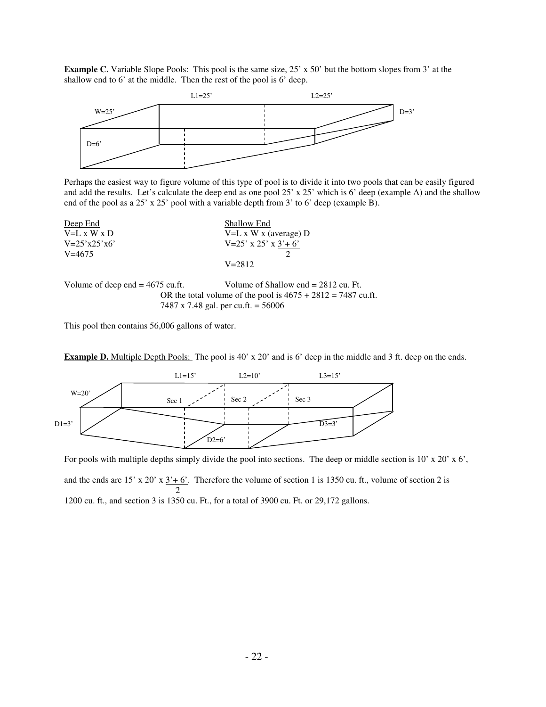**Example C.** Variable Slope Pools: This pool is the same size, 25' x 50' but the bottom slopes from 3' at the shallow end to 6' at the middle. Then the rest of the pool is 6' deep.



Perhaps the easiest way to figure volume of this type of pool is to divide it into two pools that can be easily figured and add the results. Let's calculate the deep end as one pool 25' x 25' which is 6' deep (example A) and the shallow end of the pool as a 25' x 25' pool with a variable depth from 3' to 6' deep (example B).



OR the total volume of the pool is  $4675 + 2812 = 7487$  cu.ft. 7487 x 7.48 gal. per cu.ft. = 56006

This pool then contains 56,006 gallons of water.



**Example D.** Multiple Depth Pools: The pool is 40' x 20' and is 6' deep in the middle and 3 ft. deep on the ends.

For pools with multiple depths simply divide the pool into sections. The deep or middle section is  $10' \times 20' \times 6'$ , and the ends are 15' x 20' x  $3'+6'$ . Therefore the volume of section 1 is 1350 cu. ft., volume of section 2 is 2 1200 cu. ft., and section 3 is 1350 cu. Ft., for a total of 3900 cu. Ft. or 29,172 gallons.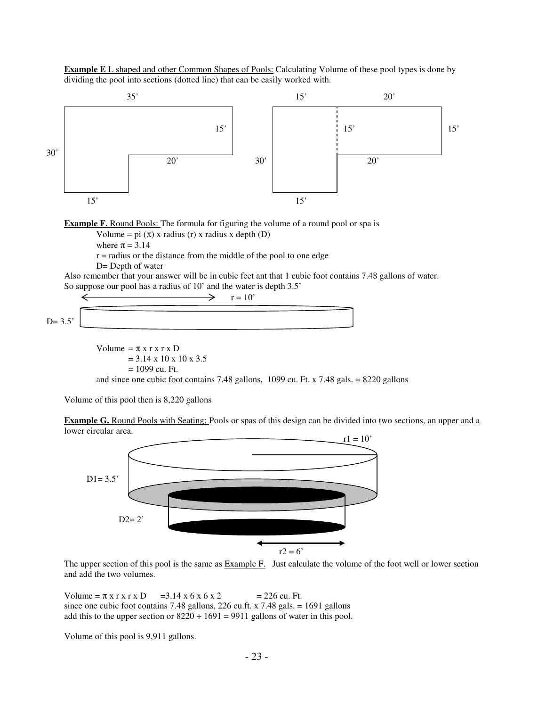**Example E** L shaped and other Common Shapes of Pools: Calculating Volume of these pool types is done by dividing the pool into sections (dotted line) that can be easily worked with.



$$
\begin{array}{c}\n\leftarrow \\
\hline\n\text{D= 3.5'}\n\end{array}
$$

Volume =  $\pi$  x r x r x D  $= 3.14 \times 10 \times 10 \times 3.5$  $= 1099$  cu. Ft. and since one cubic foot contains 7.48 gallons, 1099 cu. Ft. x 7.48 gals. = 8220 gallons

Volume of this pool then is 8,220 gallons

**Example G.** Round Pools with Seating: Pools or spas of this design can be divided into two sections, an upper and a lower circular area.



The upper section of this pool is the same as **Example F.** Just calculate the volume of the foot well or lower section and add the two volumes.

Volume =  $\pi$  x r x r x D = 3.14 x 6 x 6 x 2 = 226 cu. Ft. since one cubic foot contains 7.48 gallons, 226 cu.ft. x 7.48 gals.  $= 1691$  gallons add this to the upper section or  $8220 + 1691 = 9911$  gallons of water in this pool.

Volume of this pool is 9,911 gallons.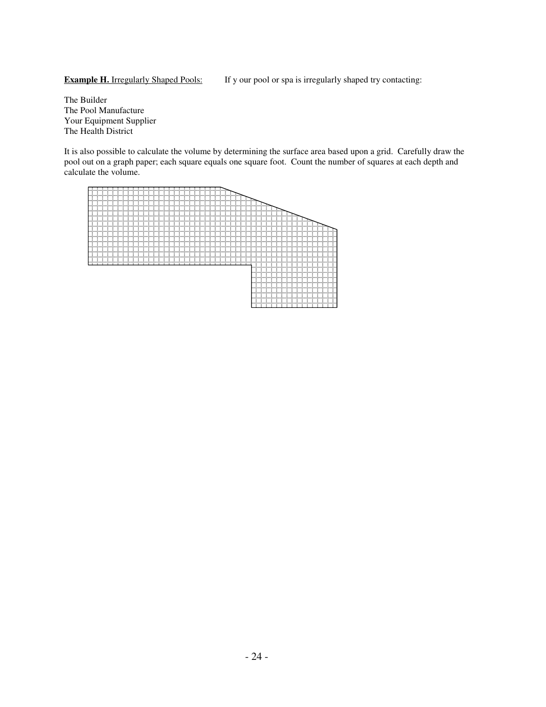**Example H.** Irregularly Shaped Pools: If y our pool or spa is irregularly shaped try contacting:

The Builder The Pool Manufacture Your Equipment Supplier The Health District

It is also possible to calculate the volume by determining the surface area based upon a grid. Carefully draw the pool out on a graph paper; each square equals one square foot. Count the number of squares at each depth and calculate the volume.

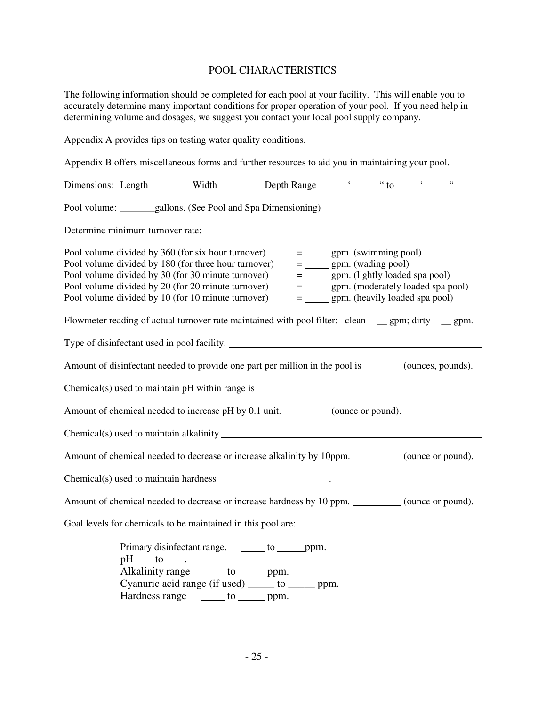#### POOL CHARACTERISTICS

The following information should be completed for each pool at your facility. This will enable you to accurately determine many important conditions for proper operation of your pool. If you need help in determining volume and dosages, we suggest you contact your local pool supply company.

Appendix A provides tips on testing water quality conditions. Appendix B offers miscellaneous forms and further resources to aid you in maintaining your pool. Dimensions: Length Width Depth Range ' " " to ' " " Pool volume: \_\_\_\_\_\_\_gallons. (See Pool and Spa Dimensioning) Determine minimum turnover rate: Pool volume divided by 360 (for six hour turnover)  $=$  gpm. (swimming pool)<br>Pool volume divided by 180 (for three hour turnover)  $=$  gpm. (wading pool) Pool volume divided by 180 (for three hour turnover)  $=$  gpm. (wading pool)<br>Pool volume divided by 30 (for 30 minute turnover)  $=$  gpm. (lightly loaded spa pool) Pool volume divided by 30 (for 30 minute turnover)  $=$  gpm. (lightly loaded spa pool)<br>Pool volume divided by 20 (for 20 minute turnover)  $=$  gpm. (moderately loaded spa pool) Pool volume divided by 20 (for 20 minute turnover) Pool volume divided by 10 (for 10 minute turnover)  $=$  gpm. (heavily loaded spa pool) Flowmeter reading of actual turnover rate maintained with pool filter: clean \_\_\_ gpm; dirty \_\_\_ gpm. Type of disinfectant used in pool facility. Amount of disinfectant needed to provide one part per million in the pool is (ounces, pounds). Chemical(s) used to maintain pH within range is Amount of chemical needed to increase pH by 0.1 unit. (ounce or pound).  $Chemical(s)$  used to maintain alkalinity  $\overline{\phantom{a}}$ Amount of chemical needed to decrease or increase alkalinity by 10ppm. \_\_\_\_\_\_\_\_\_ (ounce or pound). Chemical(s) used to maintain hardness . Amount of chemical needed to decrease or increase hardness by 10 ppm. (ounce or pound). Goal levels for chemicals to be maintained in this pool are: Primary disinfectant range. \_\_\_\_\_\_ to \_\_\_\_\_\_ ppm. pH to .

Alkalinity range  $\frac{1}{\sqrt{2\pi}}$  to ppm. Cyanuric acid range (if used) \_\_\_\_\_ to \_\_\_\_\_ ppm. Hardness range \_\_\_\_\_\_ to \_\_\_\_\_\_ ppm.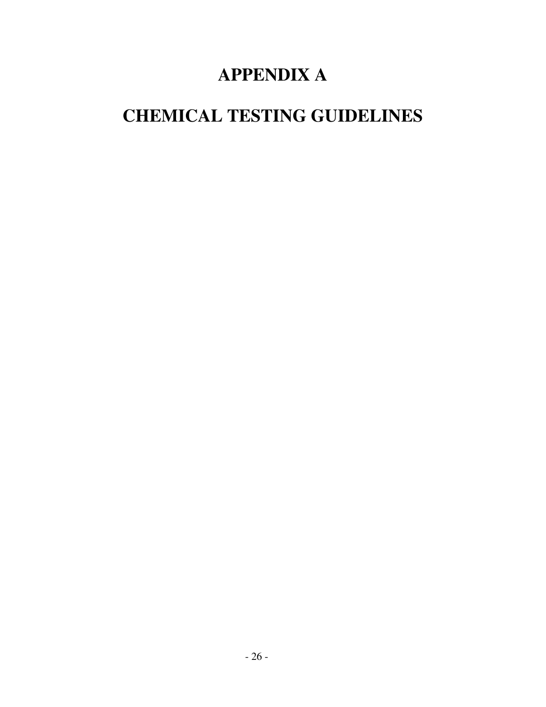# **APPENDIX A**

# **CHEMICAL TESTING GUIDELINES**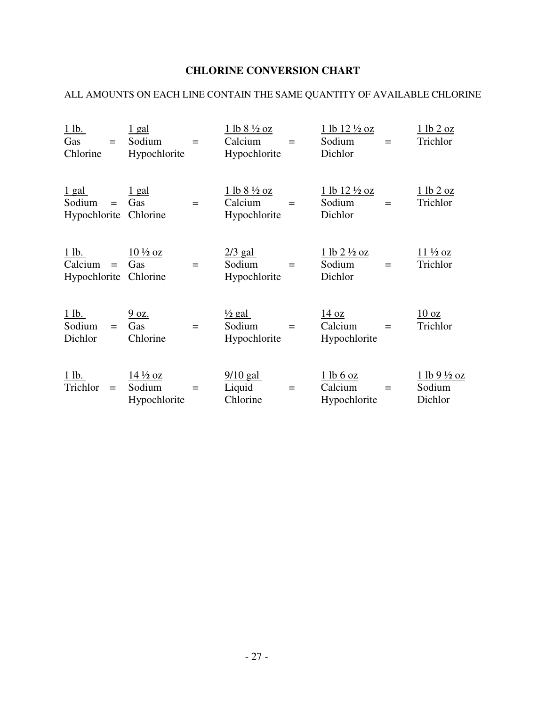## **CHLORINE CONVERSION CHART**

## ALL AMOUNTS ON EACH LINE CONTAIN THE SAME QUANTITY OF AVAILABLE CHLORINE

| $1$ lb.<br>Gas<br>Chlorine                      | $=$      | $1$ gal<br>Sodium<br>Hypochlorite                               | $\qquad \qquad =$ | $1 lb 8 \frac{1}{2} oz$<br>Calcium<br>Hypochlorite | $=$               | 1 lb 12 1/2 oz<br>Sodium<br>Dichlor           | $=$      | 1 lb 2 oz<br>Trichlor                   |
|-------------------------------------------------|----------|-----------------------------------------------------------------|-------------------|----------------------------------------------------|-------------------|-----------------------------------------------|----------|-----------------------------------------|
| $1$ gal<br>Sodium<br>Hypochlorite Chlorine      | $=$      | <u>1 gal</u><br>Gas                                             | $=$               | $1 lb 8 \frac{1}{2} oz$<br>Calcium<br>Hypochlorite | $=$               | $1 lb 12 \frac{1}{2} oz$<br>Sodium<br>Dichlor | $=$      | 1 lb 2 oz<br>Trichlor                   |
| $1$ lb.<br>$Calcium =$<br>Hypochlorite Chlorine |          | $10\frac{1}{2}$ oz<br>Gas                                       | $=$               | $2/3$ gal<br>Sodium<br>Hypochlorite                | $\qquad \qquad =$ | $1 lb 2 \frac{1}{2} oz$<br>Sodium<br>Dichlor  | $=$      | $11\frac{1}{2}$ oz<br>Trichlor          |
| $1$ lb.<br>Sodium<br>Dichlor                    | $\equiv$ | 9 oz.<br>Gas<br>Chlorine                                        | $=$               | $\frac{1}{2}$ gal<br>Sodium<br>Hypochlorite        | $\qquad \qquad =$ | $\frac{14}{2}$ oz<br>Calcium<br>Hypochlorite  | $\equiv$ | $10 \text{ oz}$<br>Trichlor             |
| $1$ lb.<br>Trichlor                             | $=$      | $\frac{14 \frac{1}{2} \text{ oz}}{2}$<br>Sodium<br>Hypochlorite | $\qquad \qquad =$ | $\frac{9}{10}$ gal<br>Liquid<br>Chlorine           | $\qquad \qquad =$ | 1 lb 6 oz<br>Calcium<br>Hypochlorite          | $=$      | <u>1 lb 9 ½ oz</u><br>Sodium<br>Dichlor |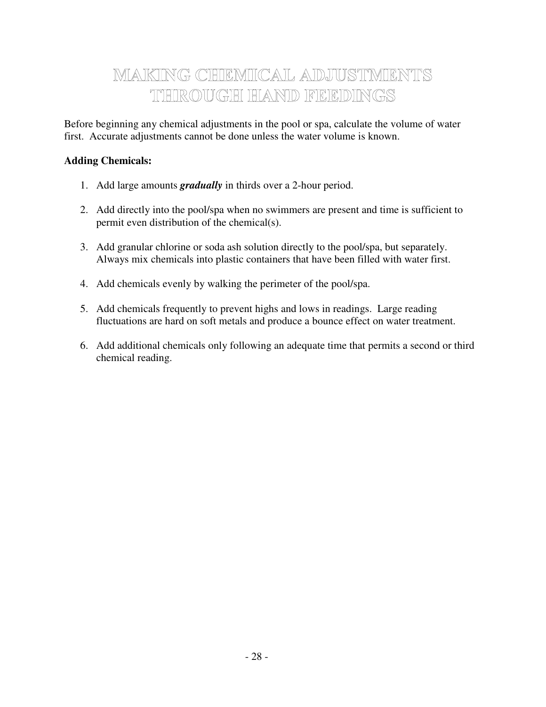## MAKING CHEMICAL ADJUSTMENTS THIROUGH HAND FEEDINGS

Before beginning any chemical adjustments in the pool or spa, calculate the volume of water first. Accurate adjustments cannot be done unless the water volume is known.

### **Adding Chemicals:**

- 1. Add large amounts *gradually* in thirds over a 2-hour period.
- 2. Add directly into the pool/spa when no swimmers are present and time is sufficient to permit even distribution of the chemical(s).
- 3. Add granular chlorine or soda ash solution directly to the pool/spa, but separately. Always mix chemicals into plastic containers that have been filled with water first.
- 4. Add chemicals evenly by walking the perimeter of the pool/spa.
- 5. Add chemicals frequently to prevent highs and lows in readings. Large reading fluctuations are hard on soft metals and produce a bounce effect on water treatment.
- 6. Add additional chemicals only following an adequate time that permits a second or third chemical reading.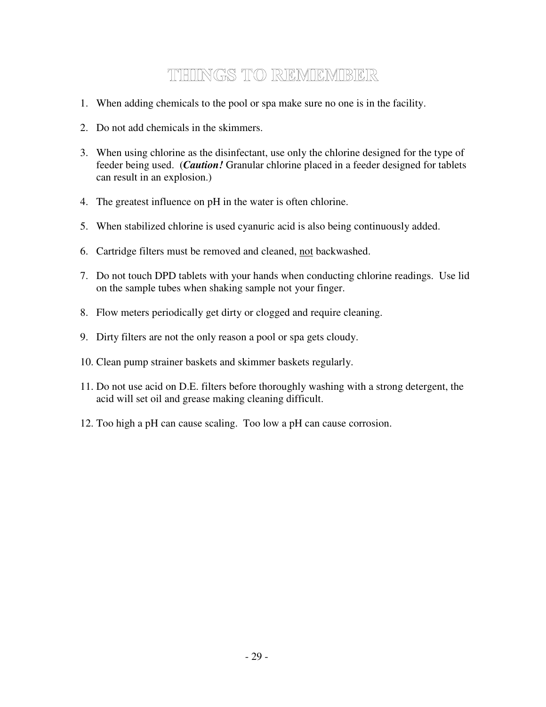## TUHUNGS TO REMEMBER

- 1. When adding chemicals to the pool or spa make sure no one is in the facility.
- 2. Do not add chemicals in the skimmers.
- 3. When using chlorine as the disinfectant, use only the chlorine designed for the type of feeder being used. (*Caution!* Granular chlorine placed in a feeder designed for tablets can result in an explosion.)
- 4. The greatest influence on pH in the water is often chlorine.
- 5. When stabilized chlorine is used cyanuric acid is also being continuously added.
- 6. Cartridge filters must be removed and cleaned, not backwashed.
- 7. Do not touch DPD tablets with your hands when conducting chlorine readings. Use lid on the sample tubes when shaking sample not your finger.
- 8. Flow meters periodically get dirty or clogged and require cleaning.
- 9. Dirty filters are not the only reason a pool or spa gets cloudy.
- 10. Clean pump strainer baskets and skimmer baskets regularly.
- 11. Do not use acid on D.E. filters before thoroughly washing with a strong detergent, the acid will set oil and grease making cleaning difficult.
- 12. Too high a pH can cause scaling. Too low a pH can cause corrosion.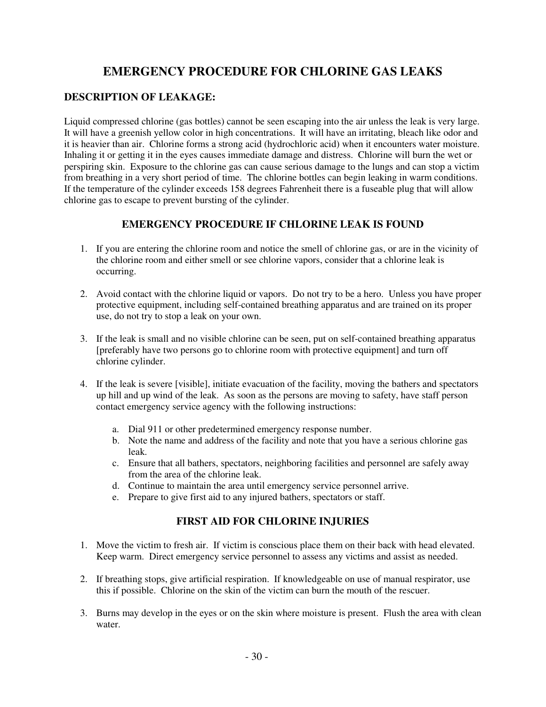## **EMERGENCY PROCEDURE FOR CHLORINE GAS LEAKS**

### **DESCRIPTION OF LEAKAGE:**

Liquid compressed chlorine (gas bottles) cannot be seen escaping into the air unless the leak is very large. It will have a greenish yellow color in high concentrations. It will have an irritating, bleach like odor and it is heavier than air. Chlorine forms a strong acid (hydrochloric acid) when it encounters water moisture. Inhaling it or getting it in the eyes causes immediate damage and distress. Chlorine will burn the wet or perspiring skin. Exposure to the chlorine gas can cause serious damage to the lungs and can stop a victim from breathing in a very short period of time. The chlorine bottles can begin leaking in warm conditions. If the temperature of the cylinder exceeds 158 degrees Fahrenheit there is a fuseable plug that will allow chlorine gas to escape to prevent bursting of the cylinder.

### **EMERGENCY PROCEDURE IF CHLORINE LEAK IS FOUND**

- 1. If you are entering the chlorine room and notice the smell of chlorine gas, or are in the vicinity of the chlorine room and either smell or see chlorine vapors, consider that a chlorine leak is occurring.
- 2. Avoid contact with the chlorine liquid or vapors. Do not try to be a hero. Unless you have proper protective equipment, including self-contained breathing apparatus and are trained on its proper use, do not try to stop a leak on your own.
- 3. If the leak is small and no visible chlorine can be seen, put on self-contained breathing apparatus [preferably have two persons go to chlorine room with protective equipment] and turn off chlorine cylinder.
- 4. If the leak is severe [visible], initiate evacuation of the facility, moving the bathers and spectators up hill and up wind of the leak. As soon as the persons are moving to safety, have staff person contact emergency service agency with the following instructions:
	- a. Dial 911 or other predetermined emergency response number.
	- b. Note the name and address of the facility and note that you have a serious chlorine gas leak.
	- c. Ensure that all bathers, spectators, neighboring facilities and personnel are safely away from the area of the chlorine leak.
	- d. Continue to maintain the area until emergency service personnel arrive.
	- e. Prepare to give first aid to any injured bathers, spectators or staff.

### **FIRST AID FOR CHLORINE INJURIES**

- 1. Move the victim to fresh air. If victim is conscious place them on their back with head elevated. Keep warm. Direct emergency service personnel to assess any victims and assist as needed.
- 2. If breathing stops, give artificial respiration. If knowledgeable on use of manual respirator, use this if possible. Chlorine on the skin of the victim can burn the mouth of the rescuer.
- 3. Burns may develop in the eyes or on the skin where moisture is present. Flush the area with clean water.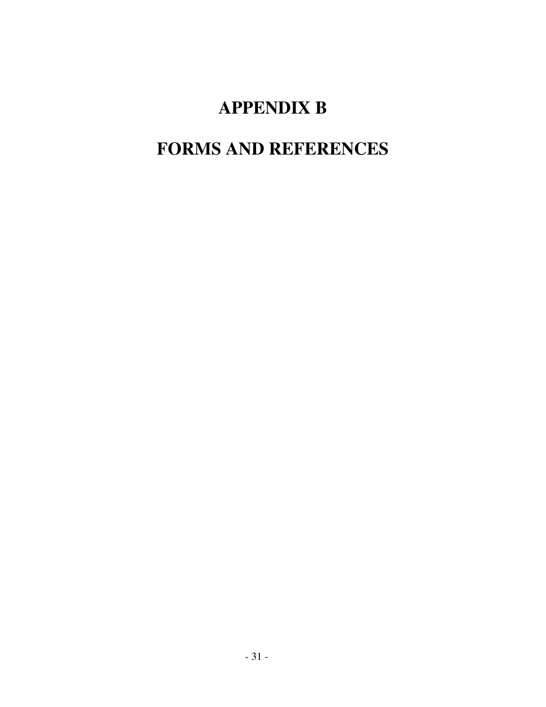# **APPENDIX B**

# **FORMS AND REFERENCES**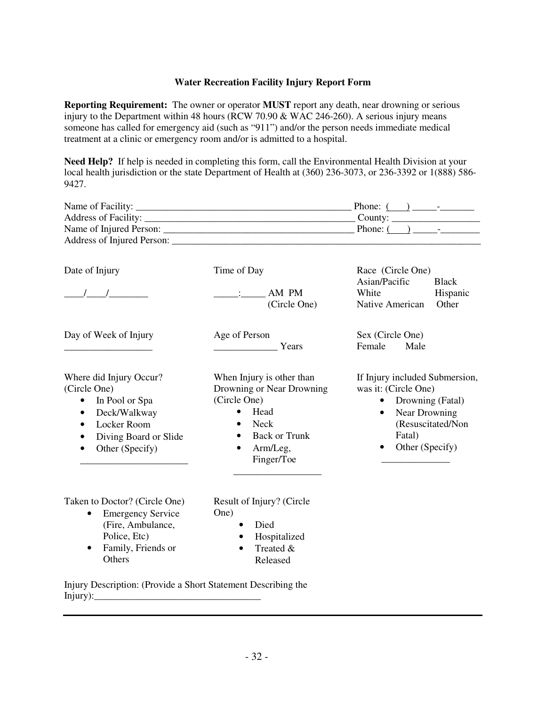#### **Water Recreation Facility Injury Report Form**

**Reporting Requirement:** The owner or operator **MUST** report any death, near drowning or serious injury to the Department within 48 hours (RCW 70.90 & WAC 246-260). A serious injury means someone has called for emergency aid (such as "911") and/or the person needs immediate medical treatment at a clinic or emergency room and/or is admitted to a hospital.

**Need Help?** If help is needed in completing this form, call the Environmental Health Division at your local health jurisdiction or the state Department of Health at (360) 236-3073, or 236-3392 or 1(888) 586- 9427.

|                                                                                                                                                                             | Name of Facility:                                                                                                                                                                            |                                                                                                                                                                           |
|-----------------------------------------------------------------------------------------------------------------------------------------------------------------------------|----------------------------------------------------------------------------------------------------------------------------------------------------------------------------------------------|---------------------------------------------------------------------------------------------------------------------------------------------------------------------------|
| Date of Injury                                                                                                                                                              | Time of Day<br>$\frac{1}{2}$ : $\frac{1}{2}$ AM PM<br>(Circle One)                                                                                                                           | Race (Circle One)<br>Asian/Pacific<br><b>Black</b><br>White<br>Hispanic<br>Other<br>Native American                                                                       |
| Day of Week of Injury                                                                                                                                                       | Age of Person<br>Years Years                                                                                                                                                                 | Sex (Circle One)<br>Female<br>Male                                                                                                                                        |
| Where did Injury Occur?<br>(Circle One)<br>In Pool or Spa<br>$\bullet$<br>Deck/Walkway<br>$\bullet$<br>Locker Room<br>$\bullet$<br>Diving Board or Slide<br>Other (Specify) | When Injury is other than<br>Drowning or Near Drowning<br>(Circle One)<br>Head<br>$\bullet$<br>Neck<br>$\bullet$<br><b>Back or Trunk</b><br>$\bullet$<br>Arm/Leg,<br>$\bullet$<br>Finger/Toe | If Injury included Submersion,<br>was it: (Circle One)<br>• Drowning (Fatal)<br>Near Drowning<br>$\bullet$<br>(Resuscitated/Non<br>Fatal)<br>Other (Specify)<br>$\bullet$ |
| Taken to Doctor? (Circle One)                                                                                                                                               | Result of Injury? (Circle                                                                                                                                                                    |                                                                                                                                                                           |

- Emergency Service (Fire, Ambulance, Police, Etc)
- Family, Friends or **Others**
- One)
	- Died
	- Hospitalized
	- Treated &
		- Released

Injury Description: (Provide a Short Statement Describing the  $Injury):$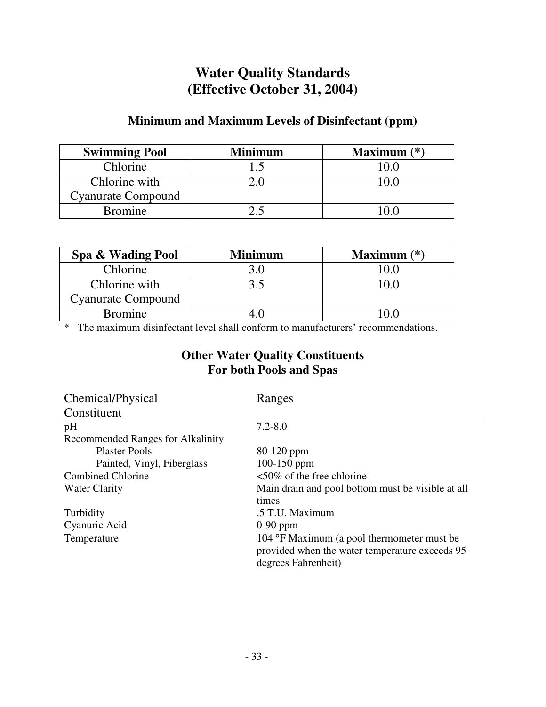## **Water Quality Standards (Effective October 31, 2004)**

## **Minimum and Maximum Levels of Disinfectant (ppm)**

| <b>Swimming Pool</b>      | <b>Minimum</b> | Maximum $(*)$ |
|---------------------------|----------------|---------------|
| Chlorine                  |                |               |
| Chlorine with             |                |               |
| <b>Cyanurate Compound</b> |                |               |
| <b>Bromine</b>            |                |               |

| Spa & Wading Pool         | <b>Minimum</b> | Maximum $(*)$ |
|---------------------------|----------------|---------------|
| Chlorine                  |                |               |
| Chlorine with             | 35             | 70 G          |
| <b>Cyanurate Compound</b> |                |               |
| <b>Bromine</b>            |                |               |

\* The maximum disinfectant level shall conform to manufacturers' recommendations.

## **Other Water Quality Constituents For both Pools and Spas**

| Chemical/Physical                 | Ranges                                                                                                              |
|-----------------------------------|---------------------------------------------------------------------------------------------------------------------|
| Constituent                       |                                                                                                                     |
| pH                                | $7.2 - 8.0$                                                                                                         |
| Recommended Ranges for Alkalinity |                                                                                                                     |
| <b>Plaster Pools</b>              | $80-120$ ppm                                                                                                        |
| Painted, Vinyl, Fiberglass        | 100-150 ppm                                                                                                         |
| <b>Combined Chlorine</b>          | $<50\%$ of the free chlorine                                                                                        |
| Water Clarity                     | Main drain and pool bottom must be visible at all                                                                   |
|                                   | times                                                                                                               |
| Turbidity                         | .5 T.U. Maximum                                                                                                     |
| Cyanuric Acid                     | $0-90$ ppm                                                                                                          |
| Temperature                       | 104 °F Maximum (a pool thermometer must be<br>provided when the water temperature exceeds 95<br>degrees Fahrenheit) |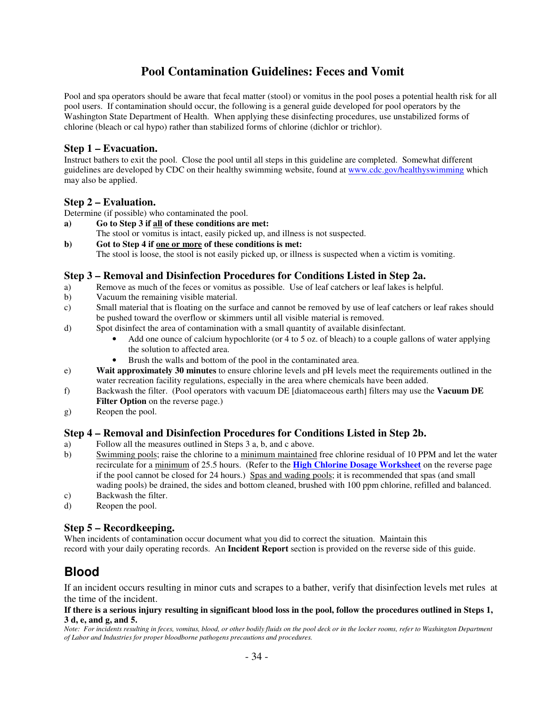## **Pool Contamination Guidelines: Feces and Vomit**

Pool and spa operators should be aware that fecal matter (stool) or vomitus in the pool poses a potential health risk for all pool users. If contamination should occur, the following is a general guide developed for pool operators by the Washington State Department of Health. When applying these disinfecting procedures, use unstabilized forms of chlorine (bleach or cal hypo) rather than stabilized forms of chlorine (dichlor or trichlor).

#### **Step 1 – Evacuation.**

Instruct bathers to exit the pool. Close the pool until all steps in this guideline are completed. Somewhat different guidelines are developed by CDC on their healthy swimming website, found at www.cdc.gov/healthyswimming which may also be applied.

### **Step 2 – Evaluation.**

Determine (if possible) who contaminated the pool.

- **a) Go to Step 3 if all of these conditions are met:**
- The stool or vomitus is intact, easily picked up, and illness is not suspected.
- **b) Got to Step 4 if one or more of these conditions is met:**  The stool is loose, the stool is not easily picked up, or illness is suspected when a victim is vomiting.

### **Step 3 – Removal and Disinfection Procedures for Conditions Listed in Step 2a.**

- a) Remove as much of the feces or vomitus as possible. Use of leaf catchers or leaf lakes is helpful.
- b) Vacuum the remaining visible material.
- c) Small material that is floating on the surface and cannot be removed by use of leaf catchers or leaf rakes should be pushed toward the overflow or skimmers until all visible material is removed.
- d) Spot disinfect the area of contamination with a small quantity of available disinfectant.
	- Add one ounce of calcium hypochlorite (or 4 to 5 oz. of bleach) to a couple gallons of water applying the solution to affected area.
	- Brush the walls and bottom of the pool in the contaminated area.
- e) **Wait approximately 30 minutes** to ensure chlorine levels and pH levels meet the requirements outlined in the water recreation facility regulations, especially in the area where chemicals have been added.
- f) Backwash the filter. (Pool operators with vacuum DE [diatomaceous earth] filters may use the **Vacuum DE Filter Option** on the reverse page.)
- g) Reopen the pool.

### **Step 4 – Removal and Disinfection Procedures for Conditions Listed in Step 2b.**

- a) Follow all the measures outlined in Steps 3 a, b, and c above.
- b) Swimming pools; raise the chlorine to a minimum maintained free chlorine residual of 10 PPM and let the water recirculate for a minimum of 25.5 hours. (Refer to the **High Chlorine Dosage Worksheet** on the reverse page if the pool cannot be closed for 24 hours.) Spas and wading pools; it is recommended that spas (and small wading pools) be drained, the sides and bottom cleaned, brushed with 100 ppm chlorine, refilled and balanced.
- c) Backwash the filter.
- d) Reopen the pool.

#### **Step 5 – Recordkeeping.**

When incidents of contamination occur document what you did to correct the situation. Maintain this record with your daily operating records. An **Incident Report** section is provided on the reverse side of this guide.

## **Blood**

If an incident occurs resulting in minor cuts and scrapes to a bather, verify that disinfection levels met rules at the time of the incident.

#### **If there is a serious injury resulting in significant blood loss in the pool, follow the procedures outlined in Steps 1, 3 d, e, and g, and 5.**

*Note: For incidents resulting in feces, vomitus, blood, or other bodily fluids on the pool deck or in the locker rooms, refer to Washington Department of Labor and Industries for proper bloodborne pathogens precautions and procedures.*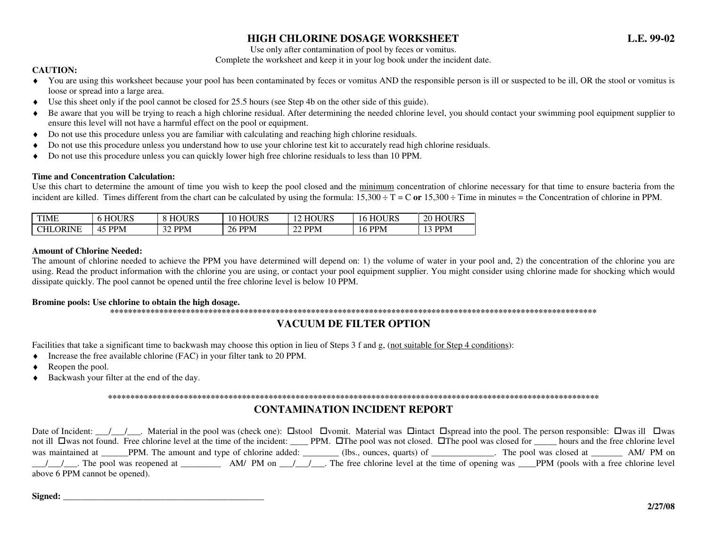### **HIGH CHLORINE DOSAGE WORKSHEET L.E. 99-02**

Use only after contamination of pool by feces or vomitus.

#### Complete the worksheet and keep it in your log book under the incident date.

#### **CAUTION:**

- ♦ You are using this worksheet because your pool has been contaminated by feces or vomitus AND the responsible person is ill or suspected to be ill, OR the stool or vomitus is loose or spread into a large area.
- Use this sheet only if the pool cannot be closed for 25.5 hours (see Step 4b on the other side of this guide). ♦
- ♦Be aware that you will be trying to reach a high chlorine residual. After determining the needed chlorine level, you should contact your swimming pool equipment supplier to ensure this level will not have a harmful effect on the pool or equipment.
- Do not use this procedure unless you are familiar with calculating and reaching high chlorine residuals. ♦
- ♦Do not use this procedure unless you understand how to use your chlorine test kit to accurately read high chlorine residuals.
- ♦Do not use this procedure unless you can quickly lower high free chlorine residuals to less than 10 PPM.

#### **Time and Concentration Calculation:**

Use this chart to determine the amount of time you wish to keep the pool closed and the minimum concentration of chlorine necessary for that time to ensure bacteria from the incident are killed. Times different from the chart can be calculated by using the formula:  $15,300 \div T = C$  or  $15,300 \div$  Time in minutes = the Concentration of chlorine in PPM.

| <b>TIME</b>  | URS<br>HO <sub>2</sub>   | OURS                 | 10 HOURS  | <b>HOURS</b>  | <b>HOURS</b><br>Iб | HOURS<br>20 |
|--------------|--------------------------|----------------------|-----------|---------------|--------------------|-------------|
| ORINE<br>CHL | <b>PPM</b><br>$4^{\sim}$ | $\sim$<br><b>PPM</b> | PPM<br>26 | <b>22 PPM</b> | <b>PPM</b><br>16.  | <b>PPM</b>  |

#### **Amount of Chlorine Needed:**

 The amount of chlorine needed to achieve the PPM you have determined will depend on: 1) the volume of water in your pool and, 2) the concentration of the chlorine you are using. Read the product information with the chlorine you are using, or contact your pool equipment supplier. You might consider using chlorine made for shocking which would dissipate quickly. The pool cannot be opened until the free chlorine level is below 10 PPM.

#### **Bromine pools: Use chlorine to obtain the high dosage.**

**\*\*\*\*\*\*\*\*\*\*\*\*\*\*\*\*\*\*\*\*\*\*\*\*\*\*\*\*\*\*\*\*\*\*\*\*\*\*\*\*\*\*\*\*\*\*\*\*\*\*\*\*\*\*\*\*\*\*\*\*\*\*\*\*\*\*\*\*\*\*\*\*\*\*\*\*\*\*\*\*\*\*\*\*\*\*\*\*\*\*\*\*\*\*\*\*\*\*\*\*\*\*\*\*\*\*\*\*\*** 

### **VACUUM DE FILTER OPTION**

Facilities that take a significant time to backwash may choose this option in lieu of Steps 3 f and g, (not suitable for Step 4 conditions):

- ♦Increase the free available chlorine (FAC) in your filter tank to 20 PPM.
- ♦Reopen the pool.
- ♦Backwash your filter at the end of the day.

#### **\*\*\*\*\*\*\*\*\*\*\*\*\*\*\*\*\*\*\*\*\*\*\*\*\*\*\*\*\*\*\*\*\*\*\*\*\*\*\*\*\*\*\*\*\*\*\*\*\*\*\*\*\*\*\*\*\*\*\*\*\*\*\*\*\*\*\*\*\*\*\*\*\*\*\*\*\*\*\*\*\*\*\*\*\*\*\*\*\*\*\*\*\*\*\*\*\*\*\*\*\*\*\*\*\*\*\*\*\*\***

### **CONTAMINATION INCIDENT REPORT**

Date of Incident:  $\ell$   $\ell$  . Material in the pool was (check one):  $\square$ stool  $\square$ vomit. Material was  $\square$ intact  $\square$ spread into the pool. The person responsible:  $\square$ was ill  $\square$ was not ill Owas not found. Free chlorine level at the time of the incident: \_\_\_\_ PPM. OThe pool was not closed. OThe pool was closed for \_\_\_\_\_ hours and the free chlorine level was maintained at \_\_\_\_\_PPM. The amount and type of chlorine added: \_\_\_\_\_\_\_\_ (lbs., ounces, quarts) of \_\_\_\_\_\_\_\_\_\_\_\_\_. The pool was closed at \_\_\_\_\_\_\_\_\_\_ AM/ PM on  $\frac{1}{1}$  The pool was reopened at  $\frac{1}{1}$  AM/ PM on  $\frac{1}{1}$  The free chlorine level at the time of opening was  $\frac{1}{1}$  PPM (pools with a free chlorine level above 6 PPM cannot be opened).

**Signed: \_\_\_\_\_\_\_\_\_\_\_\_\_\_\_\_\_\_\_\_\_\_\_\_\_\_\_\_\_\_\_\_\_\_\_\_\_\_\_\_\_\_\_\_\_**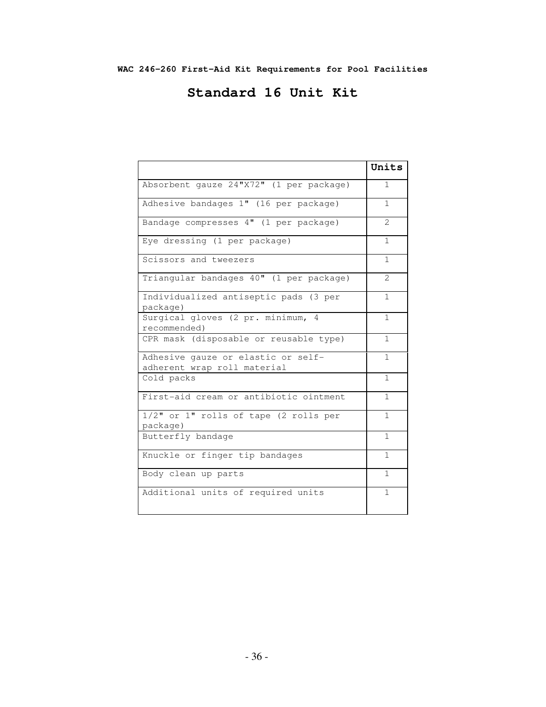## **Standard 16 Unit Kit**

|                                                                   | Units                       |
|-------------------------------------------------------------------|-----------------------------|
| Absorbent gauze 24"X72" (1 per package)                           | 1                           |
| Adhesive bandages 1" (16 per package)                             | 1                           |
| Bandage compresses 4" (1 per package)                             | $\mathcal{D}_{\mathcal{L}}$ |
| Eye dressing (1 per package)                                      | 1                           |
| Scissors and tweezers                                             | 1                           |
| Triangular bandages 40" (1 per package)                           | $\mathcal{L}$               |
| Individualized antiseptic pads (3 per<br>package)                 | 1                           |
| Surgical gloves (2 pr. minimum, 4<br>recommended)                 | 1                           |
| CPR mask (disposable or reusable type)                            | 1                           |
| Adhesive gauze or elastic or self-<br>adherent wrap roll material | $\mathbf{1}$                |
| Cold packs                                                        | $\mathbf{1}$                |
| First-aid cream or antibiotic ointment                            | $\mathbf{1}$                |
| 1/2" or 1" rolls of tape (2 rolls per<br>package)                 | $\mathbf{1}$                |
| Butterfly bandage                                                 | $\mathbf{1}$                |
| Knuckle or finger tip bandages                                    | $\mathbf{1}$                |
| Body clean up parts                                               | $\mathbf{1}$                |
| Additional units of required units                                | $\mathbf{1}$                |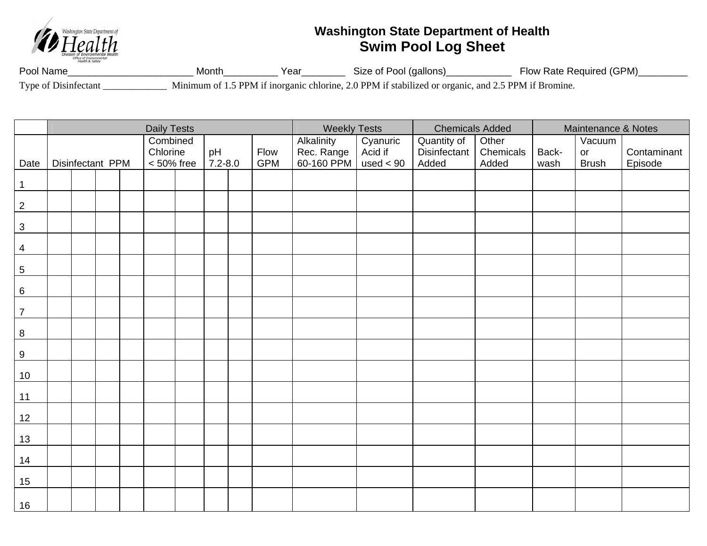

## **Washington State Department of Health Swim Pool Log Sheet**

Pool Name\_\_\_\_\_\_\_\_\_\_\_\_\_\_\_\_\_\_\_\_\_\_\_ Month\_\_\_\_\_\_\_\_\_\_ Year\_\_\_\_\_\_\_\_ Size of Pool (gallons)\_\_\_\_\_\_\_\_\_\_\_\_ Flow Rate Required (GPM)\_\_\_\_\_\_\_\_\_ Type of Disinfectant \_\_\_\_\_\_\_\_\_\_\_\_\_ Minimum of 1.5 PPM if inorganic chlorine, 2.0 PPM if stabilized or organic, and 2.5 PPM if Bromine.

|                           | <b>Daily Tests</b> |  |  |  |                           |  |                   |  |                    | <b>Weekly Tests</b>      |                        | <b>Chemicals Added</b> |                    | Maintenance & Notes |                    |                        |
|---------------------------|--------------------|--|--|--|---------------------------|--|-------------------|--|--------------------|--------------------------|------------------------|------------------------|--------------------|---------------------|--------------------|------------------------|
|                           |                    |  |  |  | Combined                  |  |                   |  |                    | Alkalinity               | Cyanuric               | Quantity of            | Other              |                     | Vacuum             |                        |
| Date                      | Disinfectant PPM   |  |  |  | Chlorine<br>$< 50\%$ free |  | pH<br>$7.2 - 8.0$ |  | Flow<br><b>GPM</b> | Rec. Range<br>60-160 PPM | Acid if<br>used $< 90$ | Disinfectant<br>Added  | Chemicals<br>Added | Back-<br>wash       | or<br><b>Brush</b> | Contaminant<br>Episode |
|                           |                    |  |  |  |                           |  |                   |  |                    |                          |                        |                        |                    |                     |                    |                        |
| $\mathbf 1$               |                    |  |  |  |                           |  |                   |  |                    |                          |                        |                        |                    |                     |                    |                        |
| $\sqrt{2}$                |                    |  |  |  |                           |  |                   |  |                    |                          |                        |                        |                    |                     |                    |                        |
| $\ensuremath{\mathsf{3}}$ |                    |  |  |  |                           |  |                   |  |                    |                          |                        |                        |                    |                     |                    |                        |
| $\overline{4}$            |                    |  |  |  |                           |  |                   |  |                    |                          |                        |                        |                    |                     |                    |                        |
| $\sqrt{5}$                |                    |  |  |  |                           |  |                   |  |                    |                          |                        |                        |                    |                     |                    |                        |
| $\,6\,$                   |                    |  |  |  |                           |  |                   |  |                    |                          |                        |                        |                    |                     |                    |                        |
| $\boldsymbol{7}$          |                    |  |  |  |                           |  |                   |  |                    |                          |                        |                        |                    |                     |                    |                        |
| $\, 8$                    |                    |  |  |  |                           |  |                   |  |                    |                          |                        |                        |                    |                     |                    |                        |
| $\boldsymbol{9}$          |                    |  |  |  |                           |  |                   |  |                    |                          |                        |                        |                    |                     |                    |                        |
| 10                        |                    |  |  |  |                           |  |                   |  |                    |                          |                        |                        |                    |                     |                    |                        |
| 11                        |                    |  |  |  |                           |  |                   |  |                    |                          |                        |                        |                    |                     |                    |                        |
| 12                        |                    |  |  |  |                           |  |                   |  |                    |                          |                        |                        |                    |                     |                    |                        |
| 13                        |                    |  |  |  |                           |  |                   |  |                    |                          |                        |                        |                    |                     |                    |                        |
| 14                        |                    |  |  |  |                           |  |                   |  |                    |                          |                        |                        |                    |                     |                    |                        |
| 15                        |                    |  |  |  |                           |  |                   |  |                    |                          |                        |                        |                    |                     |                    |                        |
| 16                        |                    |  |  |  |                           |  |                   |  |                    |                          |                        |                        |                    |                     |                    |                        |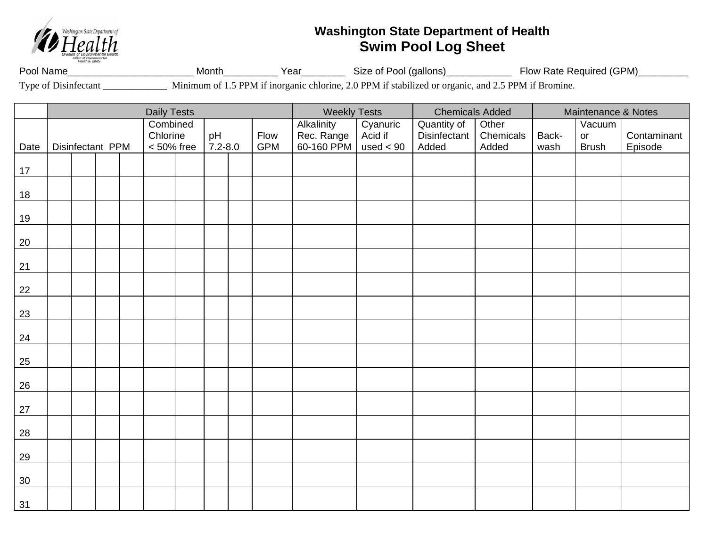

## **Washington State Department of Health Swim Pool Log Sheet**

Pool Name\_\_\_\_\_\_\_\_\_\_\_\_\_\_\_\_\_\_\_\_\_\_\_ Month\_\_\_\_\_\_\_\_\_\_ Year\_\_\_\_\_\_\_\_ Size of Pool (gallons)\_\_\_\_\_\_\_\_\_\_\_\_ Flow Rate Required (GPM)\_\_\_\_\_\_\_\_\_ Type of Disinfectant \_\_\_\_\_\_\_\_\_\_\_\_\_ Minimum of 1.5 PPM if inorganic chlorine, 2.0 PPM if stabilized or organic, and 2.5 PPM if Bromine.

Daily Tests **Notelling Chemicals Added** Maintenance & Notes Date | Disinfectant PPM **Combined Chlorine** < 50% free pH 7.2-8.0 Flow GPM **Alkalinity** Rec. Range 60-160 PPM**Cyanuric** Acid if used < 90 Quantity of **Disinfectant** Added Other **Chemicals** Added Backwash Vacuum or Brush **Contaminant** Episode 17 18 19 20 21 22 23 24 25 26 27 28 29 30 31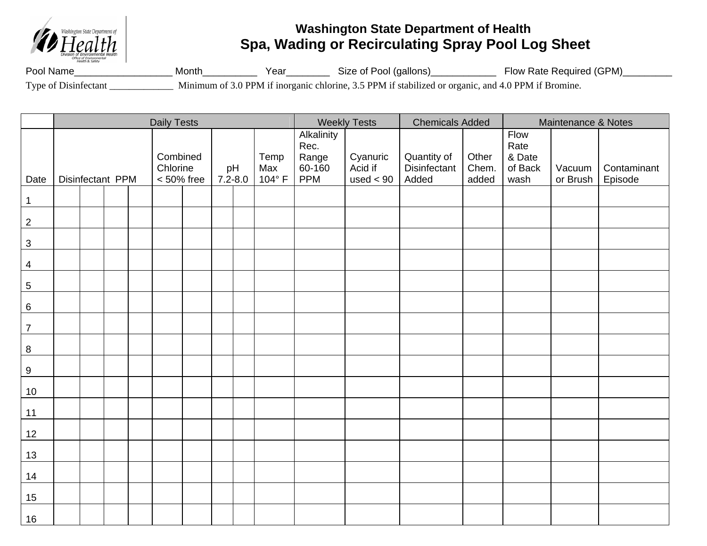

## **Washington State Department of Health Spa, Wading or Recirculating Spray Pool Log Sheet**

Pool Name\_\_\_\_\_\_\_\_\_\_\_\_\_\_\_\_\_\_ Month\_\_\_\_\_\_\_\_\_\_ Year\_\_\_\_\_\_\_\_ Size of Pool (gallons)\_\_\_\_\_\_\_\_\_\_\_\_ Flow Rate Required (GPM)\_\_\_\_\_\_\_\_\_ Type of Disinfectant \_\_\_\_\_\_\_\_\_\_\_\_\_ Minimum of 3.0 PPM if inorganic chlorine, 3.5 PPM if stabilized or organic, and 4.0 PPM if Bromine.

|                  | <b>Daily Tests</b> |  |  |                                       |               |  |                      |                                                     |                                    |                                      | <b>Weekly Tests</b>     | <b>Chemicals Added</b>                    |                    | Maintenance & Notes    |  |  |
|------------------|--------------------|--|--|---------------------------------------|---------------|--|----------------------|-----------------------------------------------------|------------------------------------|--------------------------------------|-------------------------|-------------------------------------------|--------------------|------------------------|--|--|
| Date             | Disinfectant PPM   |  |  | Combined<br>Chlorine<br>$< 50\%$ free | pH<br>7.2-8.0 |  | Temp<br>Max<br>104°F | Alkalinity<br>Rec.<br>Range<br>60-160<br><b>PPM</b> | Cyanuric<br>Acid if<br>used $< 90$ | Quantity of<br>Disinfectant<br>Added | Other<br>Chem.<br>added | Flow<br>Rate<br>& Date<br>of Back<br>wash | Vacuum<br>or Brush | Contaminant<br>Episode |  |  |
| $\mathbf 1$      |                    |  |  |                                       |               |  |                      |                                                     |                                    |                                      |                         |                                           |                    |                        |  |  |
| $\sqrt{2}$       |                    |  |  |                                       |               |  |                      |                                                     |                                    |                                      |                         |                                           |                    |                        |  |  |
| $\mathbf{3}$     |                    |  |  |                                       |               |  |                      |                                                     |                                    |                                      |                         |                                           |                    |                        |  |  |
| $\overline{4}$   |                    |  |  |                                       |               |  |                      |                                                     |                                    |                                      |                         |                                           |                    |                        |  |  |
| $\overline{5}$   |                    |  |  |                                       |               |  |                      |                                                     |                                    |                                      |                         |                                           |                    |                        |  |  |
| $\,6\,$          |                    |  |  |                                       |               |  |                      |                                                     |                                    |                                      |                         |                                           |                    |                        |  |  |
| $\overline{7}$   |                    |  |  |                                       |               |  |                      |                                                     |                                    |                                      |                         |                                           |                    |                        |  |  |
| $\,8\,$          |                    |  |  |                                       |               |  |                      |                                                     |                                    |                                      |                         |                                           |                    |                        |  |  |
| $\boldsymbol{9}$ |                    |  |  |                                       |               |  |                      |                                                     |                                    |                                      |                         |                                           |                    |                        |  |  |
| 10               |                    |  |  |                                       |               |  |                      |                                                     |                                    |                                      |                         |                                           |                    |                        |  |  |
| 11               |                    |  |  |                                       |               |  |                      |                                                     |                                    |                                      |                         |                                           |                    |                        |  |  |
| 12               |                    |  |  |                                       |               |  |                      |                                                     |                                    |                                      |                         |                                           |                    |                        |  |  |
| 13               |                    |  |  |                                       |               |  |                      |                                                     |                                    |                                      |                         |                                           |                    |                        |  |  |
| 14               |                    |  |  |                                       |               |  |                      |                                                     |                                    |                                      |                         |                                           |                    |                        |  |  |
| 15               |                    |  |  |                                       |               |  |                      |                                                     |                                    |                                      |                         |                                           |                    |                        |  |  |
| 16               |                    |  |  |                                       |               |  |                      |                                                     |                                    |                                      |                         |                                           |                    |                        |  |  |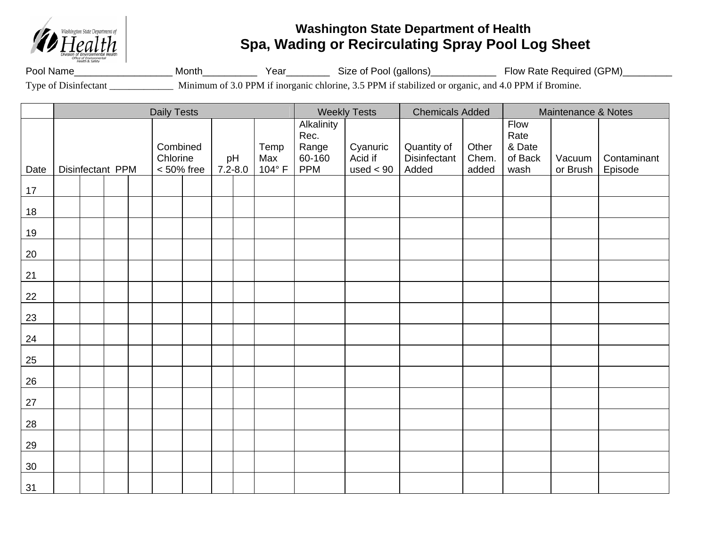

## **Washington State Department of Health Spa, Wading or Recirculating Spray Pool Log Sheet**

Pool Name\_\_\_\_\_\_\_\_\_\_\_\_\_\_\_\_\_\_\_\_\_\_\_ Month\_\_\_\_\_\_\_\_\_\_\_\_\_\_\_ Year\_\_\_\_\_\_\_\_\_\_\_\_Size of Pool (gallons)\_\_\_\_\_\_\_\_\_\_\_\_\_\_\_\_\_ Flow Rate Required (GPM)\_\_\_\_\_\_\_\_\_\_ Type of Disinfectant \_\_\_\_\_\_\_\_\_\_\_\_\_ Minimum of 3.0 PPM if inorganic chlorine, 3.5 PPM if stabilized or organic, and 4.0 PPM if Bromine.

Daily Tests **Notes 20 All 20 All 20 All 20 All 20 All 20 All 20 All 20 All 20 All 20 All 20 All 20 All 20 All 20 All 20 All 20 All 20 All 20 All 20 All 20 All 20 All 20 All 20 All 20 All 20 All 20 All 20 All 20 All 20 All** Date | Disinfectant PPM Combined **Chlorine** < 50% free pH 7.2-8.0 Temp Max  $104^{\circ}$  F **Alkalinity** Rec. Range 60-160 PPM Cyanuric Acid if used < 90 Quantity of **Disinfectant** Added **Other** Chem. added Flow Rate & Date of Back wash Vacuum or Brush**Contaminant** Episode 17 18 19 20 21 22 23 24 25 26 27 28 29 30 31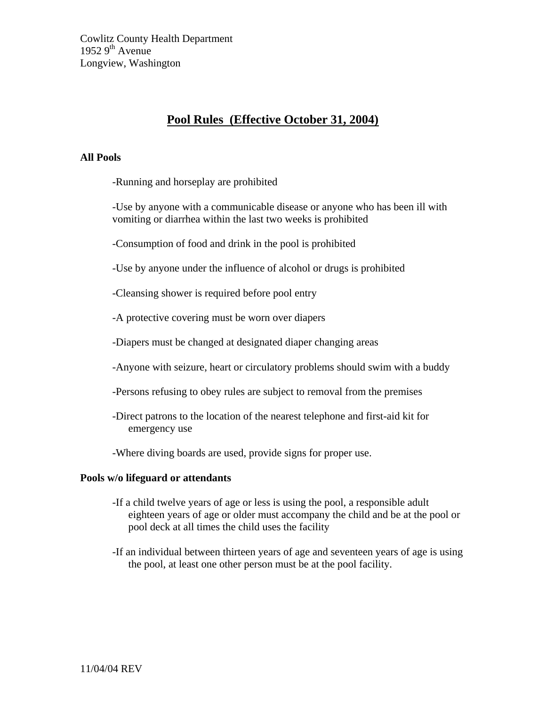## **Pool Rules (Effective October 31, 2004)**

### **All Pools**

-Running and horseplay are prohibited

-Use by anyone with a communicable disease or anyone who has been ill with vomiting or diarrhea within the last two weeks is prohibited

-Consumption of food and drink in the pool is prohibited

-Use by anyone under the influence of alcohol or drugs is prohibited

-Cleansing shower is required before pool entry

-A protective covering must be worn over diapers

-Diapers must be changed at designated diaper changing areas

-Anyone with seizure, heart or circulatory problems should swim with a buddy

- -Persons refusing to obey rules are subject to removal from the premises
- -Direct patrons to the location of the nearest telephone and first-aid kit for emergency use

-Where diving boards are used, provide signs for proper use.

### **Pools w/o lifeguard or attendants**

- -If a child twelve years of age or less is using the pool, a responsible adult eighteen years of age or older must accompany the child and be at the pool or pool deck at all times the child uses the facility
- -If an individual between thirteen years of age and seventeen years of age is using the pool, at least one other person must be at the pool facility.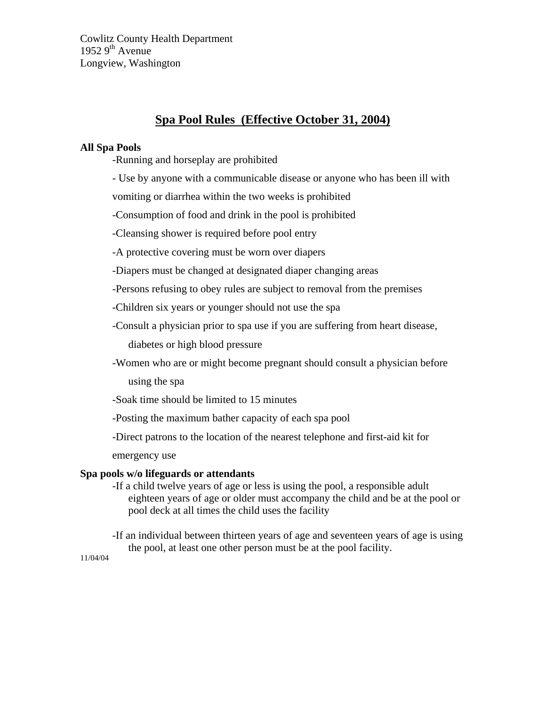## **Spa Pool Rules (Effective October 31, 2004)**

### **All Spa Pools**

-Running and horseplay are prohibited

- Use by anyone with a communicable disease or anyone who has been ill with

vomiting or diarrhea within the two weeks is prohibited

-Consumption of food and drink in the pool is prohibited

-Cleansing shower is required before pool entry

-A protective covering must be worn over diapers

-Diapers must be changed at designated diaper changing areas

-Persons refusing to obey rules are subject to removal from the premises

-Children six years or younger should not use the spa

-Consult a physician prior to spa use if you are suffering from heart disease,

diabetes or high blood pressure

-Women who are or might become pregnant should consult a physician before

using the spa

-Soak time should be limited to 15 minutes

-Posting the maximum bather capacity of each spa pool

-Direct patrons to the location of the nearest telephone and first-aid kit for

emergency use

### **Spa pools w/o lifeguards or attendants**

-If a child twelve years of age or less is using the pool, a responsible adult eighteen years of age or older must accompany the child and be at the pool or pool deck at all times the child uses the facility

-If an individual between thirteen years of age and seventeen years of age is using the pool, at least one other person must be at the pool facility.

11/04/04